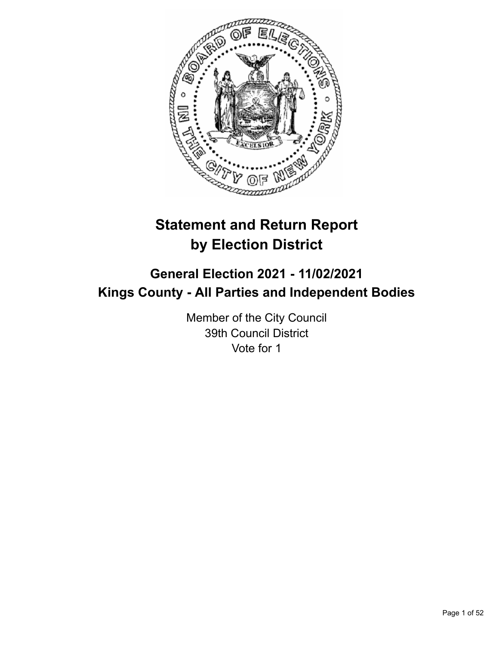

# **Statement and Return Report by Election District**

# **General Election 2021 - 11/02/2021 Kings County - All Parties and Independent Bodies**

Member of the City Council 39th Council District Vote for 1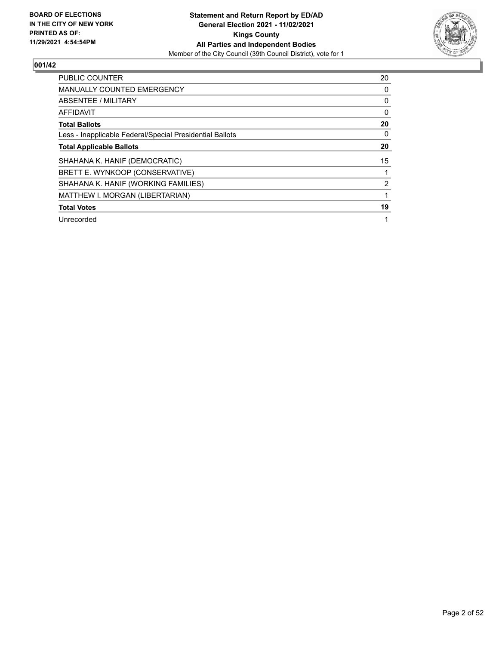

| <b>PUBLIC COUNTER</b>                                    | 20 |
|----------------------------------------------------------|----|
| <b>MANUALLY COUNTED EMERGENCY</b>                        | 0  |
| ABSENTEE / MILITARY                                      | 0  |
| <b>AFFIDAVIT</b>                                         | 0  |
| <b>Total Ballots</b>                                     | 20 |
| Less - Inapplicable Federal/Special Presidential Ballots | 0  |
| <b>Total Applicable Ballots</b>                          | 20 |
| SHAHANA K. HANIF (DEMOCRATIC)                            | 15 |
| BRETT E. WYNKOOP (CONSERVATIVE)                          |    |
| SHAHANA K. HANIF (WORKING FAMILIES)                      | 2  |
| MATTHEW I. MORGAN (LIBERTARIAN)                          |    |
| <b>Total Votes</b>                                       | 19 |
| Unrecorded                                               |    |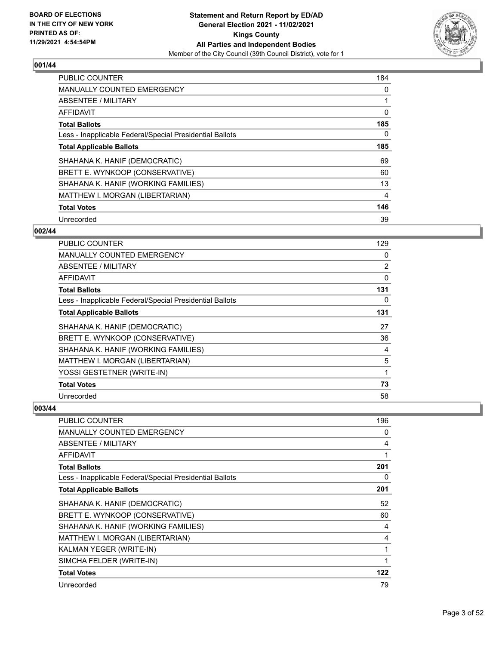

| <b>PUBLIC COUNTER</b>                                    | 184 |
|----------------------------------------------------------|-----|
| <b>MANUALLY COUNTED EMERGENCY</b>                        | 0   |
| ABSENTEE / MILITARY                                      | 1   |
| <b>AFFIDAVIT</b>                                         | 0   |
| <b>Total Ballots</b>                                     | 185 |
| Less - Inapplicable Federal/Special Presidential Ballots | 0   |
| <b>Total Applicable Ballots</b>                          | 185 |
| SHAHANA K. HANIF (DEMOCRATIC)                            | 69  |
| BRETT E. WYNKOOP (CONSERVATIVE)                          | 60  |
| SHAHANA K. HANIF (WORKING FAMILIES)                      | 13  |
| MATTHEW I. MORGAN (LIBERTARIAN)                          | 4   |
| <b>Total Votes</b>                                       | 146 |
| Unrecorded                                               | 39  |

## **002/44**

| PUBLIC COUNTER                                           | 129 |
|----------------------------------------------------------|-----|
| <b>MANUALLY COUNTED EMERGENCY</b>                        | 0   |
| ABSENTEE / MILITARY                                      | 2   |
| AFFIDAVIT                                                | 0   |
| <b>Total Ballots</b>                                     | 131 |
| Less - Inapplicable Federal/Special Presidential Ballots | 0   |
| <b>Total Applicable Ballots</b>                          | 131 |
| SHAHANA K. HANIF (DEMOCRATIC)                            | 27  |
| BRETT E. WYNKOOP (CONSERVATIVE)                          | 36  |
| SHAHANA K. HANIF (WORKING FAMILIES)                      | 4   |
| MATTHEW I. MORGAN (LIBERTARIAN)                          | 5   |
| YOSSI GESTETNER (WRITE-IN)                               | 1   |
| <b>Total Votes</b>                                       | 73  |
| Unrecorded                                               | 58  |

| <b>PUBLIC COUNTER</b>                                    | 196 |
|----------------------------------------------------------|-----|
| <b>MANUALLY COUNTED EMERGENCY</b>                        | 0   |
| ABSENTEE / MILITARY                                      | 4   |
| <b>AFFIDAVIT</b>                                         |     |
| <b>Total Ballots</b>                                     | 201 |
| Less - Inapplicable Federal/Special Presidential Ballots | 0   |
| <b>Total Applicable Ballots</b>                          | 201 |
| SHAHANA K. HANIF (DEMOCRATIC)                            | 52  |
| BRETT E. WYNKOOP (CONSERVATIVE)                          | 60  |
| SHAHANA K. HANIF (WORKING FAMILIES)                      | 4   |
| MATTHEW I. MORGAN (LIBERTARIAN)                          | 4   |
| KALMAN YEGER (WRITE-IN)                                  | 1   |
| SIMCHA FELDER (WRITE-IN)                                 | 1   |
| <b>Total Votes</b>                                       | 122 |
| Unrecorded                                               | 79  |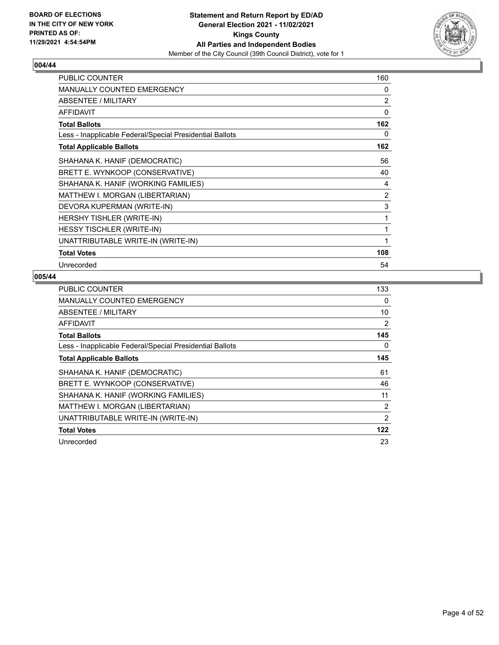

| PUBLIC COUNTER                                           | 160            |
|----------------------------------------------------------|----------------|
| <b>MANUALLY COUNTED EMERGENCY</b>                        | $\Omega$       |
| <b>ABSENTEE / MILITARY</b>                               | 2              |
| <b>AFFIDAVIT</b>                                         | 0              |
| <b>Total Ballots</b>                                     | 162            |
| Less - Inapplicable Federal/Special Presidential Ballots | 0              |
| <b>Total Applicable Ballots</b>                          | 162            |
| SHAHANA K. HANIF (DEMOCRATIC)                            | 56             |
| BRETT E. WYNKOOP (CONSERVATIVE)                          | 40             |
| SHAHANA K. HANIF (WORKING FAMILIES)                      | 4              |
| MATTHEW I. MORGAN (LIBERTARIAN)                          | $\overline{2}$ |
| DEVORA KUPERMAN (WRITE-IN)                               | 3              |
| HERSHY TISHLER (WRITE-IN)                                | 1              |
| HESSY TISCHLER (WRITE-IN)                                | 1              |
| UNATTRIBUTABLE WRITE-IN (WRITE-IN)                       | 1              |
| <b>Total Votes</b>                                       | 108            |
| Unrecorded                                               | 54             |

| PUBLIC COUNTER                                           | 133 |
|----------------------------------------------------------|-----|
| <b>MANUALLY COUNTED EMERGENCY</b>                        | 0   |
| ABSENTEE / MILITARY                                      | 10  |
| AFFIDAVIT                                                | 2   |
| <b>Total Ballots</b>                                     | 145 |
| Less - Inapplicable Federal/Special Presidential Ballots | 0   |
| <b>Total Applicable Ballots</b>                          | 145 |
| SHAHANA K. HANIF (DEMOCRATIC)                            | 61  |
| BRETT E. WYNKOOP (CONSERVATIVE)                          | 46  |
| SHAHANA K. HANIF (WORKING FAMILIES)                      | 11  |
| MATTHEW I. MORGAN (LIBERTARIAN)                          | 2   |
| UNATTRIBUTABLE WRITE-IN (WRITE-IN)                       | 2   |
| <b>Total Votes</b>                                       | 122 |
| Unrecorded                                               | 23  |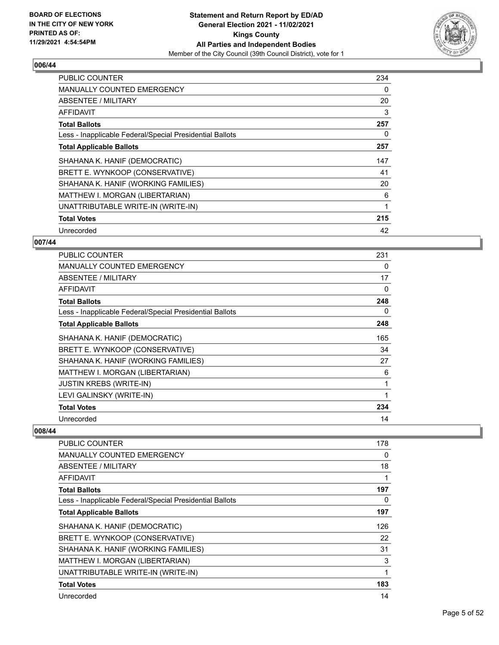

| <b>PUBLIC COUNTER</b>                                    | 234 |
|----------------------------------------------------------|-----|
| <b>MANUALLY COUNTED EMERGENCY</b>                        | 0   |
| <b>ABSENTEE / MILITARY</b>                               | 20  |
| <b>AFFIDAVIT</b>                                         | 3   |
| <b>Total Ballots</b>                                     | 257 |
| Less - Inapplicable Federal/Special Presidential Ballots | 0   |
| <b>Total Applicable Ballots</b>                          | 257 |
| SHAHANA K. HANIF (DEMOCRATIC)                            | 147 |
| BRETT E. WYNKOOP (CONSERVATIVE)                          | 41  |
| SHAHANA K. HANIF (WORKING FAMILIES)                      | 20  |
| MATTHEW I. MORGAN (LIBERTARIAN)                          | 6   |
| UNATTRIBUTABLE WRITE-IN (WRITE-IN)                       |     |
| <b>Total Votes</b>                                       | 215 |
| Unrecorded                                               | 42  |

## **007/44**

| <b>PUBLIC COUNTER</b>                                    | 231 |
|----------------------------------------------------------|-----|
| <b>MANUALLY COUNTED EMERGENCY</b>                        | 0   |
| ABSENTEE / MILITARY                                      | 17  |
| AFFIDAVIT                                                | 0   |
| <b>Total Ballots</b>                                     | 248 |
| Less - Inapplicable Federal/Special Presidential Ballots | 0   |
| <b>Total Applicable Ballots</b>                          | 248 |
| SHAHANA K. HANIF (DEMOCRATIC)                            | 165 |
| BRETT E. WYNKOOP (CONSERVATIVE)                          | 34  |
| SHAHANA K. HANIF (WORKING FAMILIES)                      | 27  |
| MATTHEW I. MORGAN (LIBERTARIAN)                          | 6   |
| <b>JUSTIN KREBS (WRITE-IN)</b>                           | 1   |
| LEVI GALINSKY (WRITE-IN)                                 |     |
| <b>Total Votes</b>                                       | 234 |
| Unrecorded                                               | 14  |

| PUBLIC COUNTER                                           | 178 |
|----------------------------------------------------------|-----|
| <b>MANUALLY COUNTED EMERGENCY</b>                        | 0   |
| ABSENTEE / MILITARY                                      | 18  |
| AFFIDAVIT                                                | 1   |
| <b>Total Ballots</b>                                     | 197 |
| Less - Inapplicable Federal/Special Presidential Ballots | 0   |
| <b>Total Applicable Ballots</b>                          | 197 |
| SHAHANA K. HANIF (DEMOCRATIC)                            | 126 |
| BRETT E. WYNKOOP (CONSERVATIVE)                          | 22  |
| SHAHANA K. HANIF (WORKING FAMILIES)                      | 31  |
| MATTHEW I. MORGAN (LIBERTARIAN)                          | 3   |
| UNATTRIBUTABLE WRITE-IN (WRITE-IN)                       | 1   |
| <b>Total Votes</b>                                       | 183 |
| Unrecorded                                               | 14  |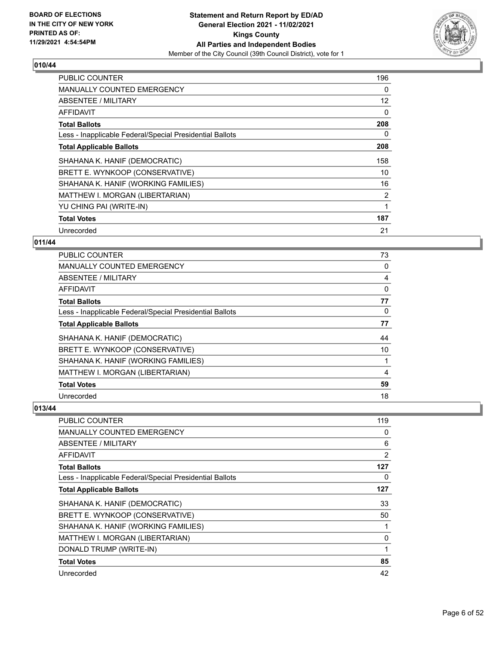

| <b>PUBLIC COUNTER</b>                                    | 196               |
|----------------------------------------------------------|-------------------|
| <b>MANUALLY COUNTED EMERGENCY</b>                        | $\Omega$          |
| ABSENTEE / MILITARY                                      | $12 \overline{ }$ |
| AFFIDAVIT                                                | 0                 |
| <b>Total Ballots</b>                                     | 208               |
| Less - Inapplicable Federal/Special Presidential Ballots | 0                 |
| <b>Total Applicable Ballots</b>                          | 208               |
| SHAHANA K. HANIF (DEMOCRATIC)                            | 158               |
| BRETT E. WYNKOOP (CONSERVATIVE)                          | 10                |
| SHAHANA K. HANIF (WORKING FAMILIES)                      | 16                |
| MATTHEW I. MORGAN (LIBERTARIAN)                          | $\overline{2}$    |
| YU CHING PAI (WRITE-IN)                                  | 1                 |
| <b>Total Votes</b>                                       | 187               |
| Unrecorded                                               | 21                |

## **011/44**

| PUBLIC COUNTER                                           | 73             |
|----------------------------------------------------------|----------------|
| MANUALLY COUNTED EMERGENCY                               | 0              |
| ABSENTEE / MILITARY                                      | $\overline{4}$ |
| AFFIDAVIT                                                | 0              |
| <b>Total Ballots</b>                                     | 77             |
| Less - Inapplicable Federal/Special Presidential Ballots | $\Omega$       |
| <b>Total Applicable Ballots</b>                          | 77             |
| SHAHANA K. HANIF (DEMOCRATIC)                            | 44             |
| BRETT E. WYNKOOP (CONSERVATIVE)                          | 10             |
| SHAHANA K. HANIF (WORKING FAMILIES)                      |                |
| MATTHEW I. MORGAN (LIBERTARIAN)                          | 4              |
| <b>Total Votes</b>                                       | 59             |
| Unrecorded                                               | 18             |

| <b>PUBLIC COUNTER</b>                                    | 119            |
|----------------------------------------------------------|----------------|
| <b>MANUALLY COUNTED EMERGENCY</b>                        | 0              |
| ABSENTEE / MILITARY                                      | 6              |
| AFFIDAVIT                                                | $\overline{2}$ |
| <b>Total Ballots</b>                                     | 127            |
| Less - Inapplicable Federal/Special Presidential Ballots | 0              |
| <b>Total Applicable Ballots</b>                          | 127            |
| SHAHANA K. HANIF (DEMOCRATIC)                            | 33             |
| BRETT E. WYNKOOP (CONSERVATIVE)                          | 50             |
| SHAHANA K. HANIF (WORKING FAMILIES)                      |                |
| MATTHEW I. MORGAN (LIBERTARIAN)                          | 0              |
| DONALD TRUMP (WRITE-IN)                                  | 1              |
| <b>Total Votes</b>                                       | 85             |
| Unrecorded                                               | 42             |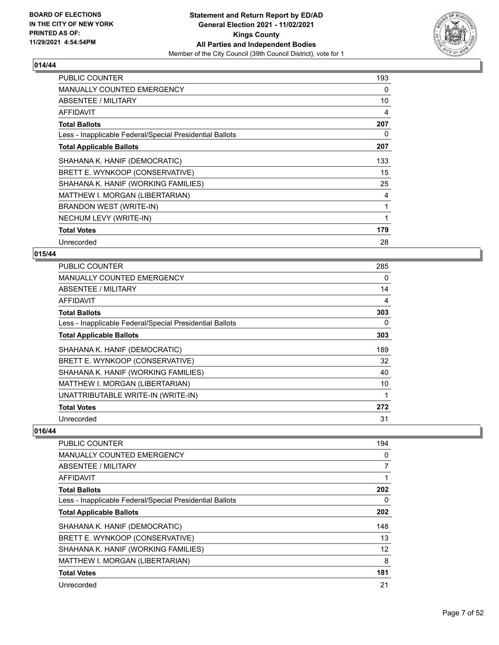

| <b>PUBLIC COUNTER</b>                                    | 193 |
|----------------------------------------------------------|-----|
| <b>MANUALLY COUNTED EMERGENCY</b>                        | 0   |
| ABSENTEE / MILITARY                                      | 10  |
| AFFIDAVIT                                                | 4   |
| <b>Total Ballots</b>                                     | 207 |
| Less - Inapplicable Federal/Special Presidential Ballots | 0   |
| <b>Total Applicable Ballots</b>                          | 207 |
| SHAHANA K. HANIF (DEMOCRATIC)                            | 133 |
| BRETT E. WYNKOOP (CONSERVATIVE)                          | 15  |
| SHAHANA K. HANIF (WORKING FAMILIES)                      | 25  |
| MATTHEW I. MORGAN (LIBERTARIAN)                          | 4   |
| <b>BRANDON WEST (WRITE-IN)</b>                           | 1   |
| NECHUM LEVY (WRITE-IN)                                   | 1   |
| <b>Total Votes</b>                                       | 179 |
| Unrecorded                                               | 28  |

# **015/44**

| <b>PUBLIC COUNTER</b>                                    | 285 |
|----------------------------------------------------------|-----|
| MANUALLY COUNTED EMERGENCY                               | 0   |
| ABSENTEE / MILITARY                                      | 14  |
| AFFIDAVIT                                                | 4   |
| <b>Total Ballots</b>                                     | 303 |
| Less - Inapplicable Federal/Special Presidential Ballots | 0   |
| <b>Total Applicable Ballots</b>                          | 303 |
| SHAHANA K. HANIF (DEMOCRATIC)                            | 189 |
| BRETT E. WYNKOOP (CONSERVATIVE)                          | 32  |
| SHAHANA K. HANIF (WORKING FAMILIES)                      | 40  |
| MATTHEW I. MORGAN (LIBERTARIAN)                          | 10  |
| UNATTRIBUTABLE WRITE-IN (WRITE-IN)                       |     |
| <b>Total Votes</b>                                       | 272 |
| Unrecorded                                               | 31  |

| PUBLIC COUNTER                                           | 194 |
|----------------------------------------------------------|-----|
| <b>MANUALLY COUNTED EMERGENCY</b>                        | 0   |
| ABSENTEE / MILITARY                                      | 7   |
| AFFIDAVIT                                                |     |
| <b>Total Ballots</b>                                     | 202 |
| Less - Inapplicable Federal/Special Presidential Ballots | 0   |
| <b>Total Applicable Ballots</b>                          | 202 |
| SHAHANA K. HANIF (DEMOCRATIC)                            | 148 |
| BRETT E. WYNKOOP (CONSERVATIVE)                          | 13  |
| SHAHANA K. HANIF (WORKING FAMILIES)                      | 12  |
| MATTHEW I. MORGAN (LIBERTARIAN)                          | 8   |
| <b>Total Votes</b>                                       | 181 |
| Unrecorded                                               | 21  |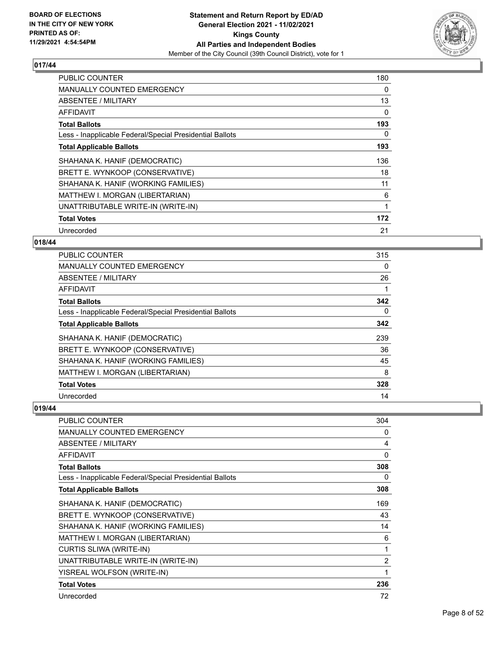

| <b>PUBLIC COUNTER</b>                                    | 180 |
|----------------------------------------------------------|-----|
| <b>MANUALLY COUNTED EMERGENCY</b>                        | 0   |
| <b>ABSENTEE / MILITARY</b>                               | 13  |
| <b>AFFIDAVIT</b>                                         | 0   |
| <b>Total Ballots</b>                                     | 193 |
| Less - Inapplicable Federal/Special Presidential Ballots | 0   |
| <b>Total Applicable Ballots</b>                          | 193 |
| SHAHANA K. HANIF (DEMOCRATIC)                            | 136 |
| BRETT E. WYNKOOP (CONSERVATIVE)                          | 18  |
| SHAHANA K. HANIF (WORKING FAMILIES)                      | 11  |
| MATTHEW I. MORGAN (LIBERTARIAN)                          | 6   |
| UNATTRIBUTABLE WRITE-IN (WRITE-IN)                       | 1   |
| <b>Total Votes</b>                                       | 172 |
| Unrecorded                                               | 21  |

## **018/44**

| PUBLIC COUNTER                                           | 315      |
|----------------------------------------------------------|----------|
| MANUALLY COUNTED EMERGENCY                               | 0        |
| ABSENTEE / MILITARY                                      | 26       |
| AFFIDAVIT                                                |          |
| <b>Total Ballots</b>                                     | 342      |
| Less - Inapplicable Federal/Special Presidential Ballots | $\Omega$ |
| <b>Total Applicable Ballots</b>                          | 342      |
| SHAHANA K. HANIF (DEMOCRATIC)                            | 239      |
| BRETT E. WYNKOOP (CONSERVATIVE)                          | 36       |
| SHAHANA K. HANIF (WORKING FAMILIES)                      | 45       |
| MATTHEW I. MORGAN (LIBERTARIAN)                          | 8        |
| <b>Total Votes</b>                                       | 328      |
| Unrecorded                                               | 14       |

| <b>PUBLIC COUNTER</b>                                    | 304 |
|----------------------------------------------------------|-----|
| <b>MANUALLY COUNTED EMERGENCY</b>                        | 0   |
| ABSENTEE / MILITARY                                      | 4   |
| <b>AFFIDAVIT</b>                                         | 0   |
| <b>Total Ballots</b>                                     | 308 |
| Less - Inapplicable Federal/Special Presidential Ballots | 0   |
| <b>Total Applicable Ballots</b>                          | 308 |
| SHAHANA K. HANIF (DEMOCRATIC)                            | 169 |
| BRETT E. WYNKOOP (CONSERVATIVE)                          | 43  |
| SHAHANA K. HANIF (WORKING FAMILIES)                      | 14  |
| MATTHEW I. MORGAN (LIBERTARIAN)                          | 6   |
| CURTIS SLIWA (WRITE-IN)                                  | 1   |
| UNATTRIBUTABLE WRITE-IN (WRITE-IN)                       | 2   |
| YISREAL WOLFSON (WRITE-IN)                               | 1   |
| <b>Total Votes</b>                                       | 236 |
| Unrecorded                                               | 72  |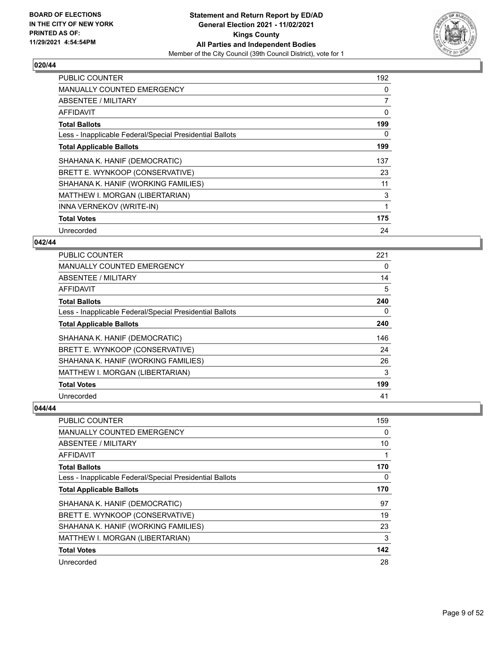

| <b>PUBLIC COUNTER</b>                                    | 192            |
|----------------------------------------------------------|----------------|
| <b>MANUALLY COUNTED EMERGENCY</b>                        | 0              |
| <b>ABSENTEE / MILITARY</b>                               | $\overline{7}$ |
| AFFIDAVIT                                                | 0              |
| <b>Total Ballots</b>                                     | 199            |
| Less - Inapplicable Federal/Special Presidential Ballots | 0              |
| <b>Total Applicable Ballots</b>                          | 199            |
| SHAHANA K. HANIF (DEMOCRATIC)                            | 137            |
| BRETT E. WYNKOOP (CONSERVATIVE)                          | 23             |
| SHAHANA K. HANIF (WORKING FAMILIES)                      | 11             |
| MATTHEW I. MORGAN (LIBERTARIAN)                          | 3              |
| INNA VERNEKOV (WRITE-IN)                                 | 1              |
| <b>Total Votes</b>                                       | 175            |
| Unrecorded                                               | 24             |

## **042/44**

| PUBLIC COUNTER                                           | 221      |
|----------------------------------------------------------|----------|
| <b>MANUALLY COUNTED EMERGENCY</b>                        | $\Omega$ |
| ABSENTEE / MILITARY                                      | 14       |
| AFFIDAVIT                                                | 5        |
| <b>Total Ballots</b>                                     | 240      |
| Less - Inapplicable Federal/Special Presidential Ballots | $\Omega$ |
| <b>Total Applicable Ballots</b>                          | 240      |
| SHAHANA K. HANIF (DEMOCRATIC)                            | 146      |
| BRETT E. WYNKOOP (CONSERVATIVE)                          | 24       |
| SHAHANA K. HANIF (WORKING FAMILIES)                      | 26       |
| MATTHEW I. MORGAN (LIBERTARIAN)                          | 3        |
| <b>Total Votes</b>                                       | 199      |
| Unrecorded                                               | 41       |

| PUBLIC COUNTER                                           | 159 |
|----------------------------------------------------------|-----|
| MANUALLY COUNTED EMERGENCY                               | 0   |
| ABSENTEE / MILITARY                                      | 10  |
| AFFIDAVIT                                                |     |
| <b>Total Ballots</b>                                     | 170 |
| Less - Inapplicable Federal/Special Presidential Ballots | 0   |
| <b>Total Applicable Ballots</b>                          | 170 |
| SHAHANA K. HANIF (DEMOCRATIC)                            | 97  |
| BRETT E. WYNKOOP (CONSERVATIVE)                          | 19  |
| SHAHANA K. HANIF (WORKING FAMILIES)                      | 23  |
| MATTHEW I. MORGAN (LIBERTARIAN)                          | 3   |
| <b>Total Votes</b>                                       | 142 |
| Unrecorded                                               | 28  |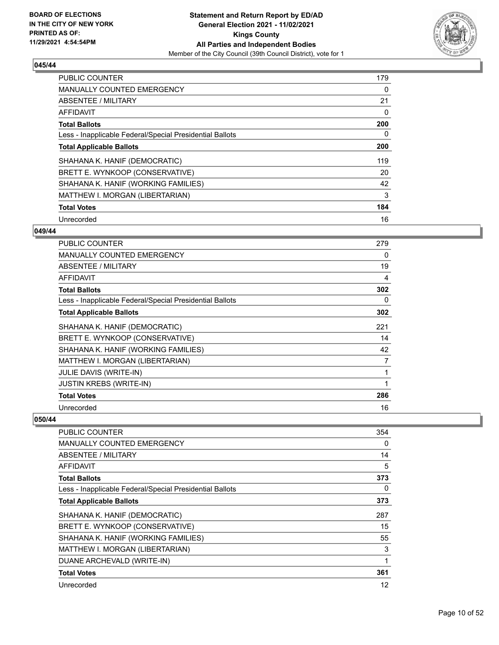

| PUBLIC COUNTER                                           | 179 |
|----------------------------------------------------------|-----|
| <b>MANUALLY COUNTED EMERGENCY</b>                        | 0   |
| ABSENTEE / MILITARY                                      | 21  |
| <b>AFFIDAVIT</b>                                         | 0   |
| <b>Total Ballots</b>                                     | 200 |
| Less - Inapplicable Federal/Special Presidential Ballots | 0   |
| <b>Total Applicable Ballots</b>                          | 200 |
| SHAHANA K. HANIF (DEMOCRATIC)                            | 119 |
| BRETT E. WYNKOOP (CONSERVATIVE)                          | 20  |
| SHAHANA K. HANIF (WORKING FAMILIES)                      | 42  |
| MATTHEW I. MORGAN (LIBERTARIAN)                          | 3   |
| <b>Total Votes</b>                                       | 184 |
| Unrecorded                                               | 16  |

## **049/44**

| <b>PUBLIC COUNTER</b>                                    | 279 |
|----------------------------------------------------------|-----|
| <b>MANUALLY COUNTED EMERGENCY</b>                        | 0   |
| <b>ABSENTEE / MILITARY</b>                               | 19  |
| AFFIDAVIT                                                | 4   |
| <b>Total Ballots</b>                                     | 302 |
| Less - Inapplicable Federal/Special Presidential Ballots | 0   |
| <b>Total Applicable Ballots</b>                          | 302 |
| SHAHANA K. HANIF (DEMOCRATIC)                            | 221 |
| BRETT E. WYNKOOP (CONSERVATIVE)                          | 14  |
| SHAHANA K. HANIF (WORKING FAMILIES)                      | 42  |
| MATTHEW I. MORGAN (LIBERTARIAN)                          | 7   |
| JULIE DAVIS (WRITE-IN)                                   |     |
| <b>JUSTIN KREBS (WRITE-IN)</b>                           | 1   |
| <b>Total Votes</b>                                       | 286 |
| Unrecorded                                               | 16  |

| <b>PUBLIC COUNTER</b>                                    | 354      |
|----------------------------------------------------------|----------|
| <b>MANUALLY COUNTED EMERGENCY</b>                        | $\Omega$ |
| <b>ABSENTEE / MILITARY</b>                               | 14       |
| AFFIDAVIT                                                | 5        |
| <b>Total Ballots</b>                                     | 373      |
| Less - Inapplicable Federal/Special Presidential Ballots | 0        |
| <b>Total Applicable Ballots</b>                          | 373      |
| SHAHANA K. HANIF (DEMOCRATIC)                            | 287      |
| BRETT E. WYNKOOP (CONSERVATIVE)                          | 15       |
| SHAHANA K. HANIF (WORKING FAMILIES)                      | 55       |
| MATTHEW I. MORGAN (LIBERTARIAN)                          | 3        |
| DUANE ARCHEVALD (WRITE-IN)                               | 1        |
| <b>Total Votes</b>                                       | 361      |
| Unrecorded                                               | 12       |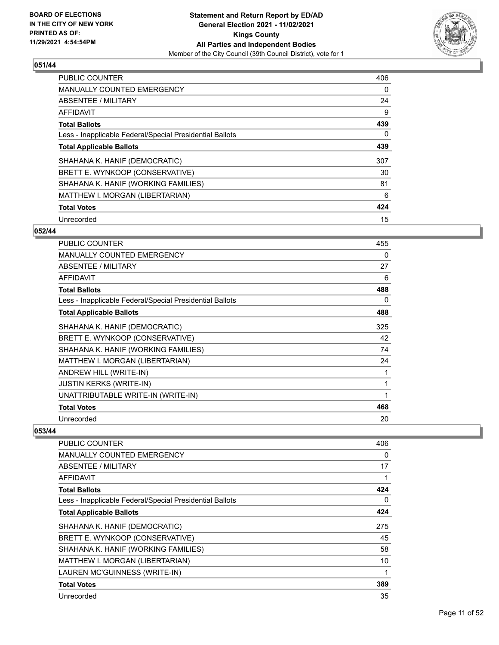

| PUBLIC COUNTER                                           | 406 |
|----------------------------------------------------------|-----|
| <b>MANUALLY COUNTED EMERGENCY</b>                        | 0   |
| ABSENTEE / MILITARY                                      | 24  |
| AFFIDAVIT                                                | 9   |
| <b>Total Ballots</b>                                     | 439 |
| Less - Inapplicable Federal/Special Presidential Ballots | 0   |
| <b>Total Applicable Ballots</b>                          | 439 |
| SHAHANA K. HANIF (DEMOCRATIC)                            | 307 |
| BRETT E. WYNKOOP (CONSERVATIVE)                          | 30  |
| SHAHANA K. HANIF (WORKING FAMILIES)                      | 81  |
| MATTHEW I. MORGAN (LIBERTARIAN)                          | 6   |
| <b>Total Votes</b>                                       | 424 |
| Unrecorded                                               | 15  |

## **052/44**

| <b>PUBLIC COUNTER</b>                                    | 455 |
|----------------------------------------------------------|-----|
| <b>MANUALLY COUNTED EMERGENCY</b>                        | 0   |
| <b>ABSENTEE / MILITARY</b>                               | 27  |
| <b>AFFIDAVIT</b>                                         | 6   |
| <b>Total Ballots</b>                                     | 488 |
| Less - Inapplicable Federal/Special Presidential Ballots | 0   |
| <b>Total Applicable Ballots</b>                          | 488 |
| SHAHANA K. HANIF (DEMOCRATIC)                            | 325 |
| BRETT E. WYNKOOP (CONSERVATIVE)                          | 42  |
| SHAHANA K. HANIF (WORKING FAMILIES)                      | 74  |
| MATTHEW I. MORGAN (LIBERTARIAN)                          | 24  |
| ANDREW HILL (WRITE-IN)                                   | 1   |
| <b>JUSTIN KERKS (WRITE-IN)</b>                           | 1   |
| UNATTRIBUTABLE WRITE-IN (WRITE-IN)                       | 1   |
| <b>Total Votes</b>                                       | 468 |
| Unrecorded                                               | 20  |

| PUBLIC COUNTER                                           | 406 |
|----------------------------------------------------------|-----|
| MANUALLY COUNTED EMERGENCY                               | 0   |
| ABSENTEE / MILITARY                                      | 17  |
| AFFIDAVIT                                                | 1   |
| <b>Total Ballots</b>                                     | 424 |
| Less - Inapplicable Federal/Special Presidential Ballots | 0   |
| <b>Total Applicable Ballots</b>                          | 424 |
| SHAHANA K. HANIF (DEMOCRATIC)                            | 275 |
| BRETT E. WYNKOOP (CONSERVATIVE)                          | 45  |
| SHAHANA K. HANIF (WORKING FAMILIES)                      | 58  |
| MATTHEW I. MORGAN (LIBERTARIAN)                          | 10  |
| LAUREN MC'GUINNESS (WRITE-IN)                            | 1   |
| <b>Total Votes</b>                                       | 389 |
| Unrecorded                                               | 35  |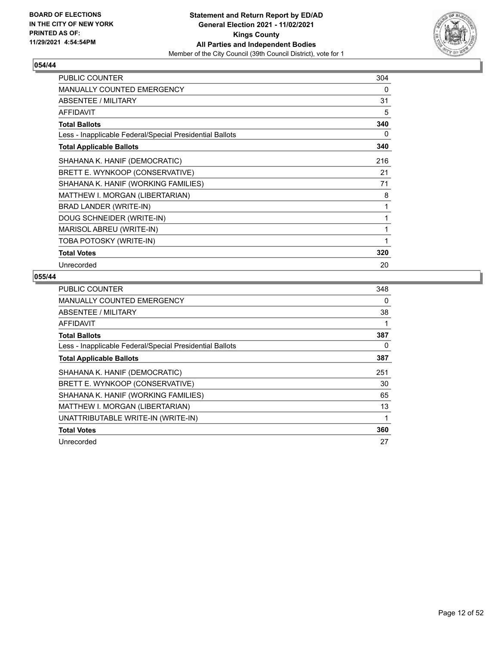

| PUBLIC COUNTER                                           | 304         |
|----------------------------------------------------------|-------------|
| MANUALLY COUNTED EMERGENCY                               | 0           |
| <b>ABSENTEE / MILITARY</b>                               | 31          |
| <b>AFFIDAVIT</b>                                         | 5           |
| <b>Total Ballots</b>                                     | 340         |
| Less - Inapplicable Federal/Special Presidential Ballots | 0           |
| <b>Total Applicable Ballots</b>                          | 340         |
| SHAHANA K. HANIF (DEMOCRATIC)                            | 216         |
| BRETT E. WYNKOOP (CONSERVATIVE)                          | 21          |
| SHAHANA K. HANIF (WORKING FAMILIES)                      | 71          |
| MATTHEW I. MORGAN (LIBERTARIAN)                          | 8           |
| BRAD LANDER (WRITE-IN)                                   | 1           |
| DOUG SCHNEIDER (WRITE-IN)                                | $\mathbf 1$ |
| MARISOL ABREU (WRITE-IN)                                 | 1           |
| TOBA POTOSKY (WRITE-IN)                                  | 1           |
| <b>Total Votes</b>                                       | 320         |
| Unrecorded                                               | 20          |

| PUBLIC COUNTER                                           | 348 |
|----------------------------------------------------------|-----|
| <b>MANUALLY COUNTED EMERGENCY</b>                        | 0   |
| ABSENTEE / MILITARY                                      | 38  |
| AFFIDAVIT                                                | 1   |
| <b>Total Ballots</b>                                     | 387 |
| Less - Inapplicable Federal/Special Presidential Ballots | 0   |
| <b>Total Applicable Ballots</b>                          | 387 |
| SHAHANA K. HANIF (DEMOCRATIC)                            | 251 |
| BRETT E. WYNKOOP (CONSERVATIVE)                          | 30  |
| SHAHANA K. HANIF (WORKING FAMILIES)                      | 65  |
| MATTHEW I. MORGAN (LIBERTARIAN)                          | 13  |
| UNATTRIBUTABLE WRITE-IN (WRITE-IN)                       | 1   |
| <b>Total Votes</b>                                       | 360 |
| Unrecorded                                               | 27  |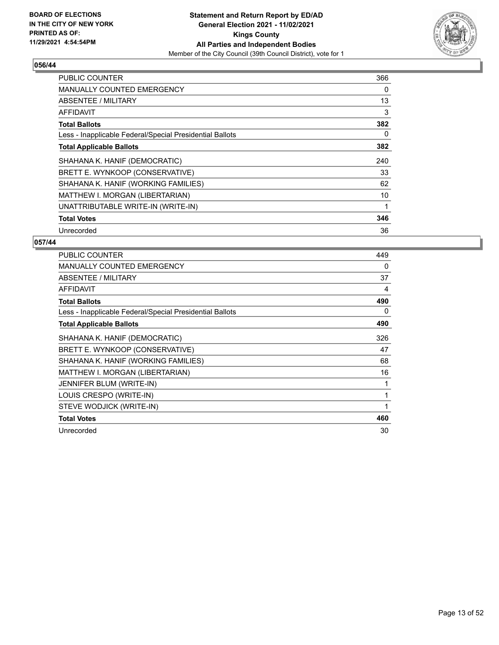

| <b>PUBLIC COUNTER</b>                                    | 366 |
|----------------------------------------------------------|-----|
| <b>MANUALLY COUNTED EMERGENCY</b>                        | 0   |
| <b>ABSENTEE / MILITARY</b>                               | 13  |
| <b>AFFIDAVIT</b>                                         | 3   |
| <b>Total Ballots</b>                                     | 382 |
| Less - Inapplicable Federal/Special Presidential Ballots | 0   |
| <b>Total Applicable Ballots</b>                          | 382 |
| SHAHANA K. HANIF (DEMOCRATIC)                            | 240 |
| BRETT E. WYNKOOP (CONSERVATIVE)                          | 33  |
| SHAHANA K. HANIF (WORKING FAMILIES)                      | 62  |
| MATTHEW I. MORGAN (LIBERTARIAN)                          | 10  |
| UNATTRIBUTABLE WRITE-IN (WRITE-IN)                       |     |
| <b>Total Votes</b>                                       | 346 |
| Unrecorded                                               | 36  |

| <b>PUBLIC COUNTER</b>                                    | 449          |
|----------------------------------------------------------|--------------|
| <b>MANUALLY COUNTED EMERGENCY</b>                        | 0            |
| ABSENTEE / MILITARY                                      | 37           |
| <b>AFFIDAVIT</b>                                         | 4            |
| <b>Total Ballots</b>                                     | 490          |
| Less - Inapplicable Federal/Special Presidential Ballots | 0            |
| <b>Total Applicable Ballots</b>                          | 490          |
| SHAHANA K. HANIF (DEMOCRATIC)                            | 326          |
| BRETT E. WYNKOOP (CONSERVATIVE)                          | 47           |
| SHAHANA K. HANIF (WORKING FAMILIES)                      | 68           |
| MATTHEW I. MORGAN (LIBERTARIAN)                          | 16           |
| JENNIFER BLUM (WRITE-IN)                                 | 1            |
| LOUIS CRESPO (WRITE-IN)                                  | 1            |
| STEVE WODJICK (WRITE-IN)                                 | $\mathbf{1}$ |
| <b>Total Votes</b>                                       | 460          |
| Unrecorded                                               | 30           |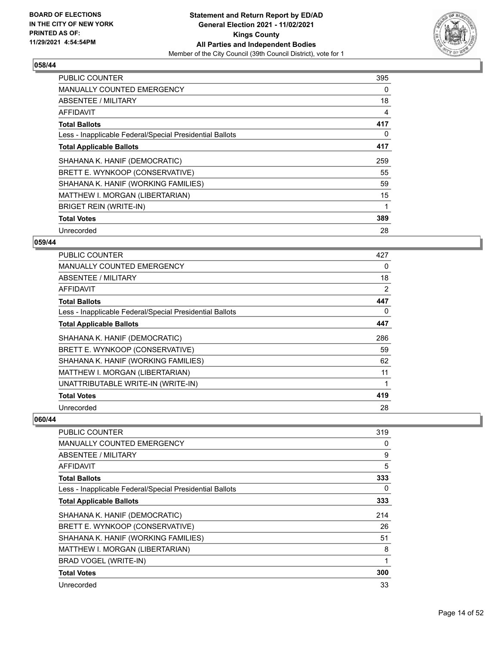

| <b>PUBLIC COUNTER</b>                                    | 395 |
|----------------------------------------------------------|-----|
| <b>MANUALLY COUNTED EMERGENCY</b>                        | 0   |
| ABSENTEE / MILITARY                                      | 18  |
| <b>AFFIDAVIT</b>                                         | 4   |
| <b>Total Ballots</b>                                     | 417 |
| Less - Inapplicable Federal/Special Presidential Ballots | 0   |
| <b>Total Applicable Ballots</b>                          | 417 |
| SHAHANA K. HANIF (DEMOCRATIC)                            | 259 |
| BRETT E. WYNKOOP (CONSERVATIVE)                          | 55  |
| SHAHANA K. HANIF (WORKING FAMILIES)                      | 59  |
| MATTHEW I. MORGAN (LIBERTARIAN)                          | 15  |
| <b>BRIGET REIN (WRITE-IN)</b>                            |     |
| <b>Total Votes</b>                                       | 389 |
|                                                          |     |

## **059/44**

| <b>PUBLIC COUNTER</b>                                    | 427 |
|----------------------------------------------------------|-----|
| MANUALLY COUNTED EMERGENCY                               | 0   |
| ABSENTEE / MILITARY                                      | 18  |
| AFFIDAVIT                                                | 2   |
| <b>Total Ballots</b>                                     | 447 |
| Less - Inapplicable Federal/Special Presidential Ballots | 0   |
| <b>Total Applicable Ballots</b>                          | 447 |
| SHAHANA K. HANIF (DEMOCRATIC)                            | 286 |
| BRETT E. WYNKOOP (CONSERVATIVE)                          | 59  |
| SHAHANA K. HANIF (WORKING FAMILIES)                      | 62  |
| MATTHEW I. MORGAN (LIBERTARIAN)                          | 11  |
| UNATTRIBUTABLE WRITE-IN (WRITE-IN)                       |     |
| <b>Total Votes</b>                                       | 419 |
| Unrecorded                                               | 28  |

| <b>PUBLIC COUNTER</b>                                    | 319 |
|----------------------------------------------------------|-----|
| <b>MANUALLY COUNTED EMERGENCY</b>                        | 0   |
| ABSENTEE / MILITARY                                      | 9   |
| <b>AFFIDAVIT</b>                                         | 5   |
| <b>Total Ballots</b>                                     | 333 |
| Less - Inapplicable Federal/Special Presidential Ballots | 0   |
| <b>Total Applicable Ballots</b>                          | 333 |
| SHAHANA K. HANIF (DEMOCRATIC)                            | 214 |
| BRETT E. WYNKOOP (CONSERVATIVE)                          | 26  |
| SHAHANA K. HANIF (WORKING FAMILIES)                      | 51  |
| MATTHEW I. MORGAN (LIBERTARIAN)                          | 8   |
| BRAD VOGEL (WRITE-IN)                                    |     |
| <b>Total Votes</b>                                       | 300 |
| Unrecorded                                               | 33  |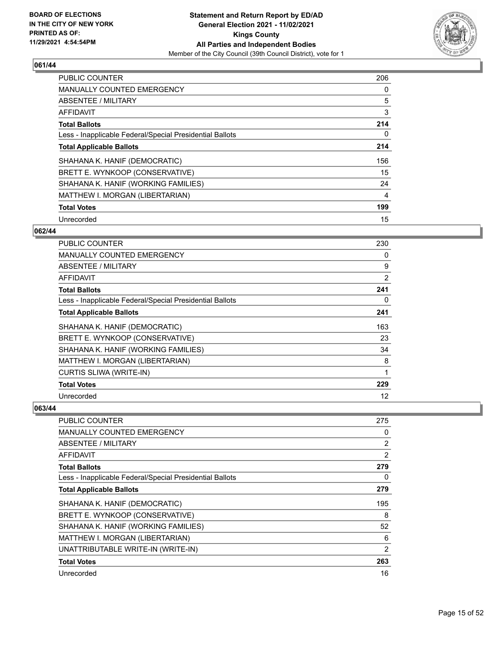

| PUBLIC COUNTER                                           | 206 |
|----------------------------------------------------------|-----|
| <b>MANUALLY COUNTED EMERGENCY</b>                        | 0   |
| ABSENTEE / MILITARY                                      | 5   |
| <b>AFFIDAVIT</b>                                         | 3   |
| <b>Total Ballots</b>                                     | 214 |
| Less - Inapplicable Federal/Special Presidential Ballots | 0   |
| <b>Total Applicable Ballots</b>                          | 214 |
| SHAHANA K. HANIF (DEMOCRATIC)                            | 156 |
| BRETT E. WYNKOOP (CONSERVATIVE)                          | 15  |
| SHAHANA K. HANIF (WORKING FAMILIES)                      | 24  |
| MATTHEW I. MORGAN (LIBERTARIAN)                          | 4   |
| <b>Total Votes</b>                                       | 199 |
| Unrecorded                                               | 15  |

## **062/44**

| PUBLIC COUNTER                                           | 230 |
|----------------------------------------------------------|-----|
| <b>MANUALLY COUNTED EMERGENCY</b>                        | 0   |
| ABSENTEE / MILITARY                                      | 9   |
| AFFIDAVIT                                                | 2   |
| <b>Total Ballots</b>                                     | 241 |
| Less - Inapplicable Federal/Special Presidential Ballots | 0   |
| <b>Total Applicable Ballots</b>                          | 241 |
| SHAHANA K. HANIF (DEMOCRATIC)                            | 163 |
| BRETT E. WYNKOOP (CONSERVATIVE)                          | 23  |
| SHAHANA K. HANIF (WORKING FAMILIES)                      | 34  |
| MATTHEW I. MORGAN (LIBERTARIAN)                          | 8   |
| <b>CURTIS SLIWA (WRITE-IN)</b>                           | 1   |
| <b>Total Votes</b>                                       | 229 |
| Unrecorded                                               | 12  |

| PUBLIC COUNTER                                           | 275            |
|----------------------------------------------------------|----------------|
| <b>MANUALLY COUNTED EMERGENCY</b>                        | 0              |
| ABSENTEE / MILITARY                                      | $\overline{2}$ |
| <b>AFFIDAVIT</b>                                         | 2              |
| <b>Total Ballots</b>                                     | 279            |
| Less - Inapplicable Federal/Special Presidential Ballots | 0              |
| <b>Total Applicable Ballots</b>                          | 279            |
| SHAHANA K. HANIF (DEMOCRATIC)                            | 195            |
| BRETT E. WYNKOOP (CONSERVATIVE)                          | 8              |
| SHAHANA K. HANIF (WORKING FAMILIES)                      | 52             |
| MATTHEW I. MORGAN (LIBERTARIAN)                          | 6              |
| UNATTRIBUTABLE WRITE-IN (WRITE-IN)                       | 2              |
| <b>Total Votes</b>                                       | 263            |
| Unrecorded                                               | 16             |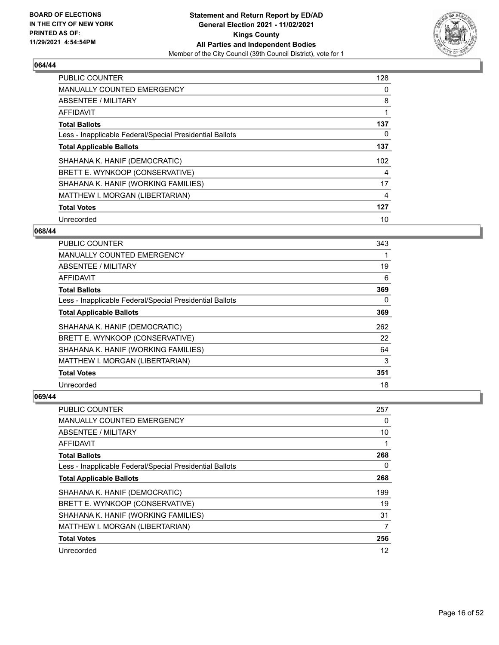

| PUBLIC COUNTER                                           | 128 |
|----------------------------------------------------------|-----|
| <b>MANUALLY COUNTED EMERGENCY</b>                        | 0   |
| ABSENTEE / MILITARY                                      | 8   |
| <b>AFFIDAVIT</b>                                         | 1   |
| <b>Total Ballots</b>                                     | 137 |
| Less - Inapplicable Federal/Special Presidential Ballots | 0   |
| <b>Total Applicable Ballots</b>                          | 137 |
| SHAHANA K. HANIF (DEMOCRATIC)                            | 102 |
| BRETT E. WYNKOOP (CONSERVATIVE)                          | 4   |
| SHAHANA K. HANIF (WORKING FAMILIES)                      | 17  |
| MATTHEW I. MORGAN (LIBERTARIAN)                          | 4   |
| <b>Total Votes</b>                                       | 127 |
| Unrecorded                                               | 10  |

## **068/44**

| <b>PUBLIC COUNTER</b>                                    | 343 |
|----------------------------------------------------------|-----|
| <b>MANUALLY COUNTED EMERGENCY</b>                        |     |
| ABSENTEE / MILITARY                                      | 19  |
| AFFIDAVIT                                                | 6   |
| <b>Total Ballots</b>                                     | 369 |
| Less - Inapplicable Federal/Special Presidential Ballots | 0   |
| <b>Total Applicable Ballots</b>                          | 369 |
| SHAHANA K. HANIF (DEMOCRATIC)                            | 262 |
| BRETT E. WYNKOOP (CONSERVATIVE)                          | 22  |
| SHAHANA K. HANIF (WORKING FAMILIES)                      | 64  |
| MATTHEW I. MORGAN (LIBERTARIAN)                          | 3   |
| <b>Total Votes</b>                                       | 351 |
| Unrecorded                                               | 18  |

| PUBLIC COUNTER                                           | 257 |
|----------------------------------------------------------|-----|
| MANUALLY COUNTED EMERGENCY                               | 0   |
| ABSENTEE / MILITARY                                      | 10  |
| AFFIDAVIT                                                |     |
| <b>Total Ballots</b>                                     | 268 |
| Less - Inapplicable Federal/Special Presidential Ballots | 0   |
| <b>Total Applicable Ballots</b>                          | 268 |
| SHAHANA K. HANIF (DEMOCRATIC)                            | 199 |
| BRETT E. WYNKOOP (CONSERVATIVE)                          | 19  |
| SHAHANA K. HANIF (WORKING FAMILIES)                      | 31  |
| MATTHEW I. MORGAN (LIBERTARIAN)                          | 7   |
| <b>Total Votes</b>                                       | 256 |
| Unrecorded                                               | 12  |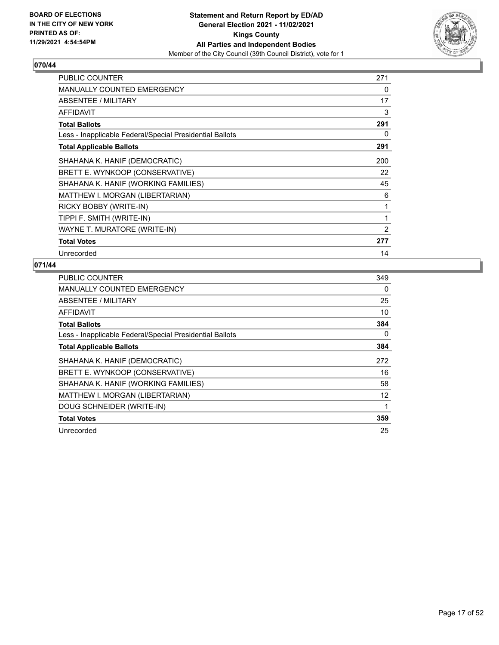

| <b>PUBLIC COUNTER</b>                                    | 271            |
|----------------------------------------------------------|----------------|
| <b>MANUALLY COUNTED EMERGENCY</b>                        | 0              |
| ABSENTEE / MILITARY                                      | 17             |
| <b>AFFIDAVIT</b>                                         | 3              |
| <b>Total Ballots</b>                                     | 291            |
| Less - Inapplicable Federal/Special Presidential Ballots | 0              |
| <b>Total Applicable Ballots</b>                          | 291            |
| SHAHANA K. HANIF (DEMOCRATIC)                            | 200            |
| BRETT E. WYNKOOP (CONSERVATIVE)                          | 22             |
| SHAHANA K. HANIF (WORKING FAMILIES)                      | 45             |
| MATTHEW I. MORGAN (LIBERTARIAN)                          | 6              |
| RICKY BOBBY (WRITE-IN)                                   | 1              |
| TIPPI F. SMITH (WRITE-IN)                                | 1              |
| WAYNE T. MURATORE (WRITE-IN)                             | $\overline{2}$ |
| <b>Total Votes</b>                                       | 277            |
| Unrecorded                                               | 14             |

| <b>PUBLIC COUNTER</b>                                    | 349 |
|----------------------------------------------------------|-----|
| <b>MANUALLY COUNTED EMERGENCY</b>                        | 0   |
| ABSENTEE / MILITARY                                      | 25  |
| AFFIDAVIT                                                | 10  |
| <b>Total Ballots</b>                                     | 384 |
| Less - Inapplicable Federal/Special Presidential Ballots | 0   |
| <b>Total Applicable Ballots</b>                          | 384 |
| SHAHANA K. HANIF (DEMOCRATIC)                            | 272 |
| BRETT E. WYNKOOP (CONSERVATIVE)                          | 16  |
| SHAHANA K. HANIF (WORKING FAMILIES)                      | 58  |
| MATTHEW I. MORGAN (LIBERTARIAN)                          | 12  |
| DOUG SCHNEIDER (WRITE-IN)                                | 1   |
| <b>Total Votes</b>                                       | 359 |
| Unrecorded                                               | 25  |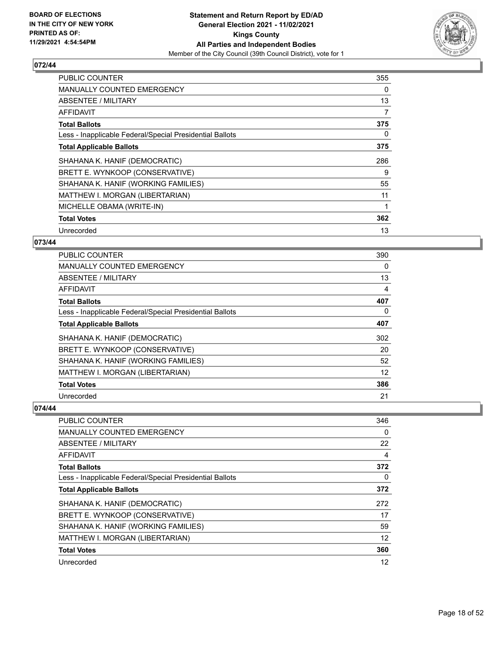

| <b>PUBLIC COUNTER</b>                                    | 355 |
|----------------------------------------------------------|-----|
| <b>MANUALLY COUNTED EMERGENCY</b>                        | 0   |
| ABSENTEE / MILITARY                                      | 13  |
| <b>AFFIDAVIT</b>                                         | 7   |
| <b>Total Ballots</b>                                     | 375 |
| Less - Inapplicable Federal/Special Presidential Ballots | 0   |
| <b>Total Applicable Ballots</b>                          | 375 |
| SHAHANA K. HANIF (DEMOCRATIC)                            | 286 |
| BRETT E. WYNKOOP (CONSERVATIVE)                          | 9   |
| SHAHANA K. HANIF (WORKING FAMILIES)                      | 55  |
| MATTHEW I. MORGAN (LIBERTARIAN)                          | 11  |
| MICHELLE OBAMA (WRITE-IN)                                |     |
| <b>Total Votes</b>                                       | 362 |
| Unrecorded                                               | 13  |

## **073/44**

| <b>PUBLIC COUNTER</b>                                    | 390      |
|----------------------------------------------------------|----------|
| MANUALLY COUNTED EMERGENCY                               | $\Omega$ |
| ABSENTEE / MILITARY                                      | 13       |
| AFFIDAVIT                                                | 4        |
| <b>Total Ballots</b>                                     | 407      |
| Less - Inapplicable Federal/Special Presidential Ballots | $\Omega$ |
| <b>Total Applicable Ballots</b>                          | 407      |
| SHAHANA K. HANIF (DEMOCRATIC)                            | 302      |
| BRETT E. WYNKOOP (CONSERVATIVE)                          | 20       |
| SHAHANA K. HANIF (WORKING FAMILIES)                      | 52       |
| MATTHEW I. MORGAN (LIBERTARIAN)                          | 12       |
| <b>Total Votes</b>                                       | 386      |
| Unrecorded                                               | 21       |

| PUBLIC COUNTER                                           | 346      |
|----------------------------------------------------------|----------|
| <b>MANUALLY COUNTED EMERGENCY</b>                        | $\Omega$ |
| ABSENTEE / MILITARY                                      | 22       |
| AFFIDAVIT                                                | 4        |
| <b>Total Ballots</b>                                     | 372      |
| Less - Inapplicable Federal/Special Presidential Ballots | 0        |
| <b>Total Applicable Ballots</b>                          | 372      |
| SHAHANA K. HANIF (DEMOCRATIC)                            | 272      |
| BRETT E. WYNKOOP (CONSERVATIVE)                          | 17       |
| SHAHANA K. HANIF (WORKING FAMILIES)                      | 59       |
| MATTHEW I. MORGAN (LIBERTARIAN)                          | 12       |
| <b>Total Votes</b>                                       | 360      |
| Unrecorded                                               | 12       |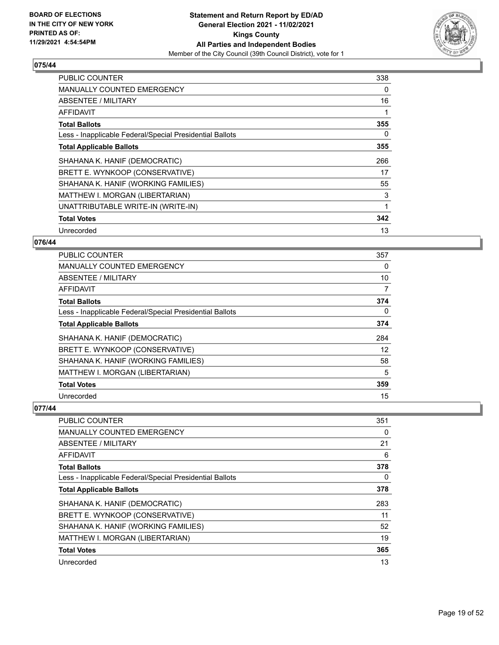

| PUBLIC COUNTER                                           | 338 |
|----------------------------------------------------------|-----|
| <b>MANUALLY COUNTED EMERGENCY</b>                        | 0   |
| ABSENTEE / MILITARY                                      | 16  |
| AFFIDAVIT                                                |     |
| <b>Total Ballots</b>                                     | 355 |
| Less - Inapplicable Federal/Special Presidential Ballots | 0   |
| <b>Total Applicable Ballots</b>                          | 355 |
| SHAHANA K. HANIF (DEMOCRATIC)                            | 266 |
| BRETT E. WYNKOOP (CONSERVATIVE)                          | 17  |
| SHAHANA K. HANIF (WORKING FAMILIES)                      | 55  |
| MATTHEW I. MORGAN (LIBERTARIAN)                          | 3   |
| UNATTRIBUTABLE WRITE-IN (WRITE-IN)                       | 1   |
| <b>Total Votes</b>                                       | 342 |
|                                                          |     |

## **076/44**

| PUBLIC COUNTER                                           | 357      |
|----------------------------------------------------------|----------|
| <b>MANUALLY COUNTED EMERGENCY</b>                        | $\Omega$ |
| ABSENTEE / MILITARY                                      | 10       |
| AFFIDAVIT                                                | 7        |
| <b>Total Ballots</b>                                     | 374      |
| Less - Inapplicable Federal/Special Presidential Ballots | $\Omega$ |
| <b>Total Applicable Ballots</b>                          | 374      |
| SHAHANA K. HANIF (DEMOCRATIC)                            | 284      |
| BRETT E. WYNKOOP (CONSERVATIVE)                          | 12       |
| SHAHANA K. HANIF (WORKING FAMILIES)                      | 58       |
| MATTHEW I. MORGAN (LIBERTARIAN)                          | 5        |
| <b>Total Votes</b>                                       | 359      |
| Unrecorded                                               | 15       |

| <b>PUBLIC COUNTER</b>                                    | 351 |
|----------------------------------------------------------|-----|
| <b>MANUALLY COUNTED EMERGENCY</b>                        | 0   |
| ABSENTEE / MILITARY                                      | 21  |
| AFFIDAVIT                                                | 6   |
| <b>Total Ballots</b>                                     | 378 |
| Less - Inapplicable Federal/Special Presidential Ballots | 0   |
| <b>Total Applicable Ballots</b>                          | 378 |
| SHAHANA K. HANIF (DEMOCRATIC)                            | 283 |
| BRETT E. WYNKOOP (CONSERVATIVE)                          | 11  |
| SHAHANA K. HANIF (WORKING FAMILIES)                      | 52  |
| MATTHEW I. MORGAN (LIBERTARIAN)                          | 19  |
| <b>Total Votes</b>                                       | 365 |
| Unrecorded                                               | 13  |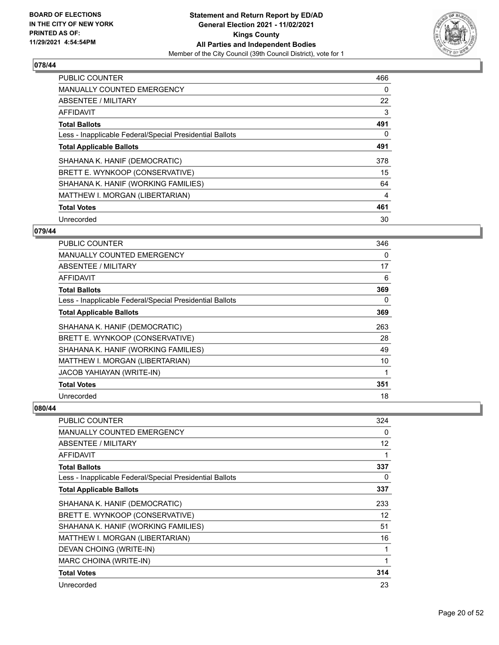

| <b>PUBLIC COUNTER</b>                                    | 466 |
|----------------------------------------------------------|-----|
| <b>MANUALLY COUNTED EMERGENCY</b>                        | 0   |
| ABSENTEE / MILITARY                                      | 22  |
| <b>AFFIDAVIT</b>                                         | 3   |
| <b>Total Ballots</b>                                     | 491 |
| Less - Inapplicable Federal/Special Presidential Ballots | 0   |
| <b>Total Applicable Ballots</b>                          | 491 |
| SHAHANA K. HANIF (DEMOCRATIC)                            | 378 |
| BRETT E. WYNKOOP (CONSERVATIVE)                          | 15  |
| SHAHANA K. HANIF (WORKING FAMILIES)                      | 64  |
| MATTHEW I. MORGAN (LIBERTARIAN)                          | 4   |
| <b>Total Votes</b>                                       | 461 |
| Unrecorded                                               | 30  |

## **079/44**

| PUBLIC COUNTER                                           | 346 |
|----------------------------------------------------------|-----|
| <b>MANUALLY COUNTED EMERGENCY</b>                        | 0   |
| ABSENTEE / MILITARY                                      | 17  |
| <b>AFFIDAVIT</b>                                         | 6   |
| <b>Total Ballots</b>                                     | 369 |
| Less - Inapplicable Federal/Special Presidential Ballots | 0   |
| <b>Total Applicable Ballots</b>                          | 369 |
| SHAHANA K. HANIF (DEMOCRATIC)                            | 263 |
| BRETT E. WYNKOOP (CONSERVATIVE)                          | 28  |
| SHAHANA K. HANIF (WORKING FAMILIES)                      | 49  |
| MATTHEW I. MORGAN (LIBERTARIAN)                          | 10  |
| <b>JACOB YAHIAYAN (WRITE-IN)</b>                         | 1   |
| <b>Total Votes</b>                                       | 351 |
| Unrecorded                                               | 18  |

| PUBLIC COUNTER                                           | 324 |
|----------------------------------------------------------|-----|
| <b>MANUALLY COUNTED EMERGENCY</b>                        | 0   |
| ABSENTEE / MILITARY                                      | 12  |
| AFFIDAVIT                                                |     |
| <b>Total Ballots</b>                                     | 337 |
| Less - Inapplicable Federal/Special Presidential Ballots | 0   |
| <b>Total Applicable Ballots</b>                          | 337 |
| SHAHANA K. HANIF (DEMOCRATIC)                            | 233 |
| BRETT E. WYNKOOP (CONSERVATIVE)                          | 12  |
| SHAHANA K. HANIF (WORKING FAMILIES)                      | 51  |
| MATTHEW I. MORGAN (LIBERTARIAN)                          | 16  |
| DEVAN CHOING (WRITE-IN)                                  |     |
| MARC CHOINA (WRITE-IN)                                   | 1   |
| <b>Total Votes</b>                                       | 314 |
| Unrecorded                                               | 23  |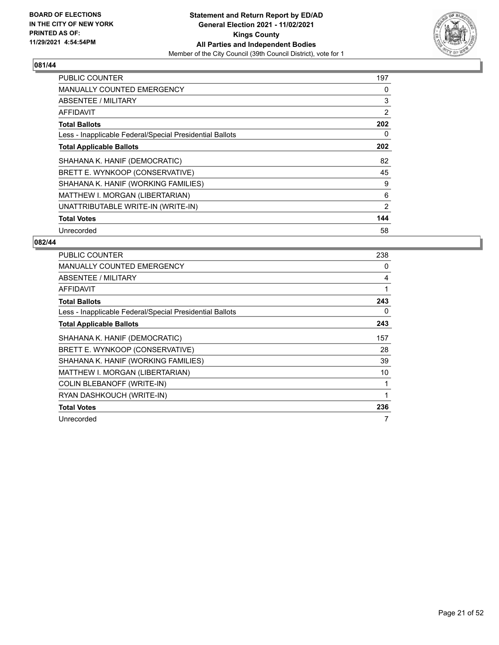

| <b>PUBLIC COUNTER</b>                                    | 197 |
|----------------------------------------------------------|-----|
| <b>MANUALLY COUNTED EMERGENCY</b>                        | 0   |
| <b>ABSENTEE / MILITARY</b>                               | 3   |
| AFFIDAVIT                                                | 2   |
| <b>Total Ballots</b>                                     | 202 |
| Less - Inapplicable Federal/Special Presidential Ballots | 0   |
| <b>Total Applicable Ballots</b>                          | 202 |
| SHAHANA K. HANIF (DEMOCRATIC)                            | 82  |
| BRETT E. WYNKOOP (CONSERVATIVE)                          | 45  |
| SHAHANA K. HANIF (WORKING FAMILIES)                      | 9   |
| MATTHEW I. MORGAN (LIBERTARIAN)                          | 6   |
| UNATTRIBUTABLE WRITE-IN (WRITE-IN)                       | 2   |
| <b>Total Votes</b>                                       | 144 |
| Unrecorded                                               | 58  |

| <b>PUBLIC COUNTER</b>                                    | 238 |
|----------------------------------------------------------|-----|
| <b>MANUALLY COUNTED EMERGENCY</b>                        | 0   |
| ABSENTEE / MILITARY                                      | 4   |
| <b>AFFIDAVIT</b>                                         |     |
| <b>Total Ballots</b>                                     | 243 |
| Less - Inapplicable Federal/Special Presidential Ballots | 0   |
| <b>Total Applicable Ballots</b>                          | 243 |
| SHAHANA K. HANIF (DEMOCRATIC)                            | 157 |
| BRETT E. WYNKOOP (CONSERVATIVE)                          | 28  |
| SHAHANA K. HANIF (WORKING FAMILIES)                      | 39  |
| MATTHEW I. MORGAN (LIBERTARIAN)                          | 10  |
| COLIN BLEBANOFF (WRITE-IN)                               |     |
| RYAN DASHKOUCH (WRITE-IN)                                |     |
| <b>Total Votes</b>                                       | 236 |
| Unrecorded                                               | 7   |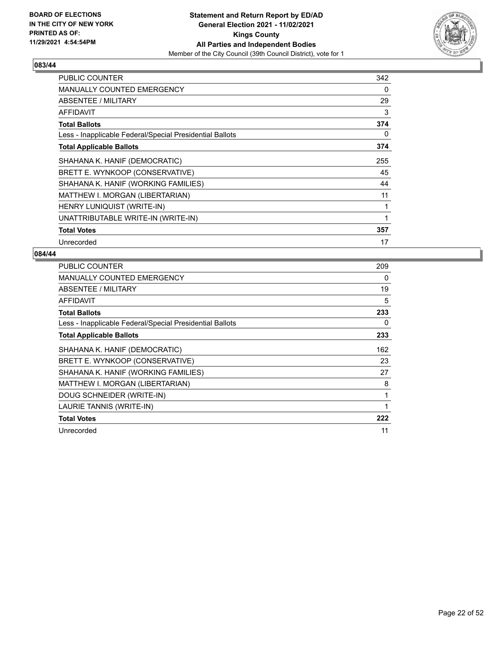

| <b>PUBLIC COUNTER</b>                                    | 342 |
|----------------------------------------------------------|-----|
| <b>MANUALLY COUNTED EMERGENCY</b>                        | 0   |
| ABSENTEE / MILITARY                                      | 29  |
| AFFIDAVIT                                                | 3   |
| <b>Total Ballots</b>                                     | 374 |
| Less - Inapplicable Federal/Special Presidential Ballots | 0   |
| <b>Total Applicable Ballots</b>                          | 374 |
| SHAHANA K. HANIF (DEMOCRATIC)                            | 255 |
| BRETT E. WYNKOOP (CONSERVATIVE)                          | 45  |
| SHAHANA K. HANIF (WORKING FAMILIES)                      | 44  |
| MATTHEW I. MORGAN (LIBERTARIAN)                          | 11  |
| HENRY LUNIQUIST (WRITE-IN)                               | 1   |
| UNATTRIBUTABLE WRITE-IN (WRITE-IN)                       | 1   |
| <b>Total Votes</b>                                       | 357 |
| Unrecorded                                               | 17  |

| <b>PUBLIC COUNTER</b>                                    | 209 |
|----------------------------------------------------------|-----|
| MANUALLY COUNTED EMERGENCY                               | 0   |
| ABSENTEE / MILITARY                                      | 19  |
| AFFIDAVIT                                                | 5   |
| <b>Total Ballots</b>                                     | 233 |
| Less - Inapplicable Federal/Special Presidential Ballots | 0   |
| <b>Total Applicable Ballots</b>                          | 233 |
| SHAHANA K. HANIF (DEMOCRATIC)                            | 162 |
| BRETT E. WYNKOOP (CONSERVATIVE)                          | 23  |
| SHAHANA K. HANIF (WORKING FAMILIES)                      | 27  |
| MATTHEW I. MORGAN (LIBERTARIAN)                          | 8   |
| DOUG SCHNEIDER (WRITE-IN)                                | 1   |
| LAURIE TANNIS (WRITE-IN)                                 | 1   |
| <b>Total Votes</b>                                       | 222 |
| Unrecorded                                               | 11  |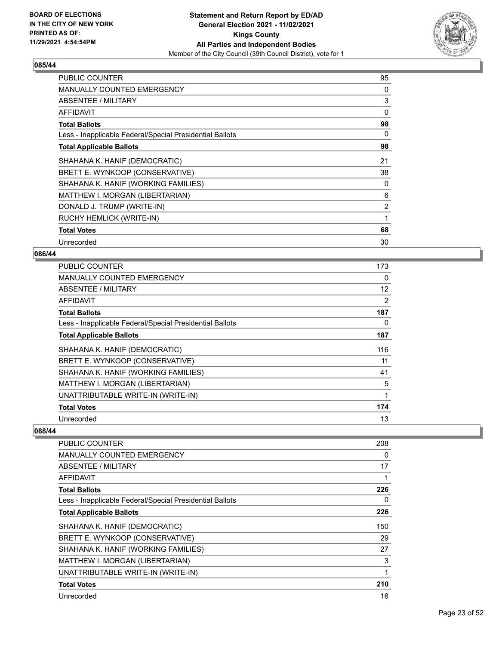

| <b>PUBLIC COUNTER</b>                                    | 95             |
|----------------------------------------------------------|----------------|
| <b>MANUALLY COUNTED EMERGENCY</b>                        | 0              |
| ABSENTEE / MILITARY                                      | 3              |
| AFFIDAVIT                                                | 0              |
| <b>Total Ballots</b>                                     | 98             |
| Less - Inapplicable Federal/Special Presidential Ballots | 0              |
| <b>Total Applicable Ballots</b>                          | 98             |
| SHAHANA K. HANIF (DEMOCRATIC)                            | 21             |
| BRETT E. WYNKOOP (CONSERVATIVE)                          | 38             |
| SHAHANA K. HANIF (WORKING FAMILIES)                      | 0              |
| MATTHEW I. MORGAN (LIBERTARIAN)                          | 6              |
| DONALD J. TRUMP (WRITE-IN)                               | $\overline{2}$ |
| RUCHY HEMLICK (WRITE-IN)                                 | 1              |
| <b>Total Votes</b>                                       | 68             |
| Unrecorded                                               | 30             |

## **086/44**

| <b>PUBLIC COUNTER</b>                                    | 173      |
|----------------------------------------------------------|----------|
| MANUALLY COUNTED EMERGENCY                               | $\Omega$ |
| ABSENTEE / MILITARY                                      | 12       |
| AFFIDAVIT                                                | 2        |
| <b>Total Ballots</b>                                     | 187      |
| Less - Inapplicable Federal/Special Presidential Ballots | 0        |
| <b>Total Applicable Ballots</b>                          | 187      |
| SHAHANA K. HANIF (DEMOCRATIC)                            | 116      |
| BRETT E. WYNKOOP (CONSERVATIVE)                          | 11       |
| SHAHANA K. HANIF (WORKING FAMILIES)                      | 41       |
| MATTHEW I. MORGAN (LIBERTARIAN)                          | 5        |
| UNATTRIBUTABLE WRITE-IN (WRITE-IN)                       | 1        |
| <b>Total Votes</b>                                       | 174      |
| Unrecorded                                               | 13       |

| PUBLIC COUNTER                                           | 208 |
|----------------------------------------------------------|-----|
| <b>MANUALLY COUNTED EMERGENCY</b>                        | 0   |
| ABSENTEE / MILITARY                                      | 17  |
| AFFIDAVIT                                                | 1   |
| <b>Total Ballots</b>                                     | 226 |
| Less - Inapplicable Federal/Special Presidential Ballots | 0   |
| <b>Total Applicable Ballots</b>                          | 226 |
| SHAHANA K. HANIF (DEMOCRATIC)                            | 150 |
| BRETT E. WYNKOOP (CONSERVATIVE)                          | 29  |
| SHAHANA K. HANIF (WORKING FAMILIES)                      | 27  |
| MATTHEW I. MORGAN (LIBERTARIAN)                          | 3   |
| UNATTRIBUTABLE WRITE-IN (WRITE-IN)                       | 1   |
| <b>Total Votes</b>                                       | 210 |
| Unrecorded                                               | 16  |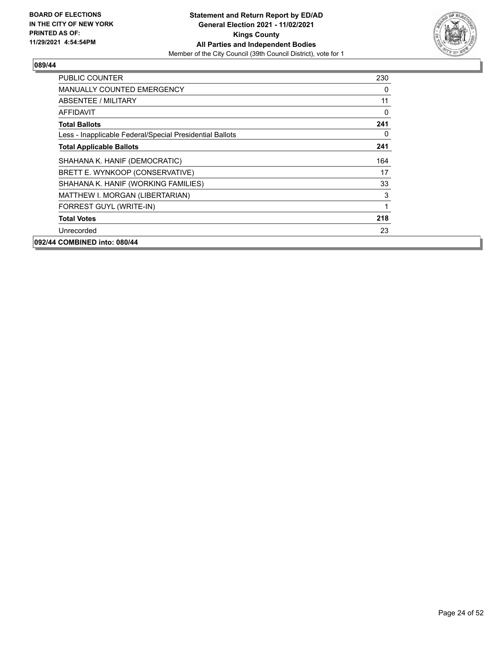

| PUBLIC COUNTER                                           | 230 |
|----------------------------------------------------------|-----|
| <b>MANUALLY COUNTED EMERGENCY</b>                        | 0   |
| <b>ABSENTEE / MILITARY</b>                               | 11  |
| <b>AFFIDAVIT</b>                                         | 0   |
| <b>Total Ballots</b>                                     | 241 |
| Less - Inapplicable Federal/Special Presidential Ballots | 0   |
| <b>Total Applicable Ballots</b>                          | 241 |
| SHAHANA K. HANIF (DEMOCRATIC)                            | 164 |
| BRETT E. WYNKOOP (CONSERVATIVE)                          | 17  |
| SHAHANA K. HANIF (WORKING FAMILIES)                      | 33  |
| MATTHEW I. MORGAN (LIBERTARIAN)                          | 3   |
| FORREST GUYL (WRITE-IN)                                  | 1   |
| <b>Total Votes</b>                                       | 218 |
| Unrecorded                                               | 23  |
| 092/44 COMBINED into: 080/44                             |     |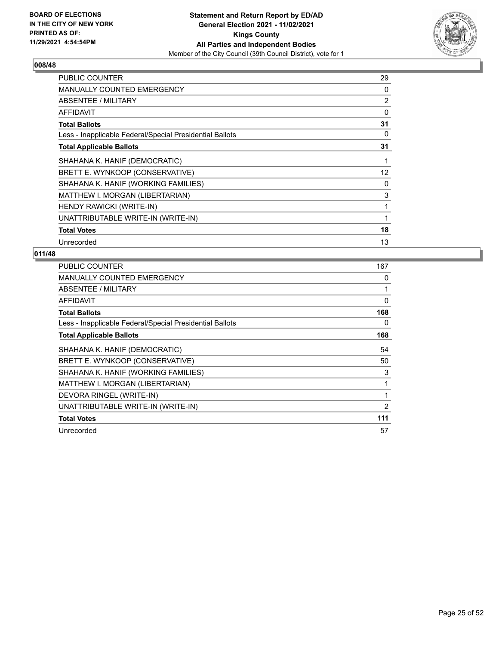

| PUBLIC COUNTER                                           | 29 |
|----------------------------------------------------------|----|
| <b>MANUALLY COUNTED EMERGENCY</b>                        | 0  |
| ABSENTEE / MILITARY                                      | 2  |
| <b>AFFIDAVIT</b>                                         | 0  |
| <b>Total Ballots</b>                                     | 31 |
| Less - Inapplicable Federal/Special Presidential Ballots | 0  |
| <b>Total Applicable Ballots</b>                          | 31 |
| SHAHANA K. HANIF (DEMOCRATIC)                            | 1  |
| BRETT E. WYNKOOP (CONSERVATIVE)                          | 12 |
| SHAHANA K. HANIF (WORKING FAMILIES)                      | 0  |
| MATTHEW I. MORGAN (LIBERTARIAN)                          | 3  |
| HENDY RAWICKI (WRITE-IN)                                 | 1  |
| UNATTRIBUTABLE WRITE-IN (WRITE-IN)                       | 1  |
| <b>Total Votes</b>                                       | 18 |
| Unrecorded                                               | 13 |

| PUBLIC COUNTER                                           | 167 |
|----------------------------------------------------------|-----|
| <b>MANUALLY COUNTED EMERGENCY</b>                        | 0   |
| ABSENTEE / MILITARY                                      |     |
| AFFIDAVIT                                                | 0   |
| <b>Total Ballots</b>                                     | 168 |
| Less - Inapplicable Federal/Special Presidential Ballots | 0   |
| <b>Total Applicable Ballots</b>                          | 168 |
| SHAHANA K. HANIF (DEMOCRATIC)                            | 54  |
| BRETT E. WYNKOOP (CONSERVATIVE)                          | 50  |
| SHAHANA K. HANIF (WORKING FAMILIES)                      | 3   |
| MATTHEW I. MORGAN (LIBERTARIAN)                          |     |
| DEVORA RINGEL (WRITE-IN)                                 | 1   |
| UNATTRIBUTABLE WRITE-IN (WRITE-IN)                       | 2   |
| <b>Total Votes</b>                                       | 111 |
| Unrecorded                                               | 57  |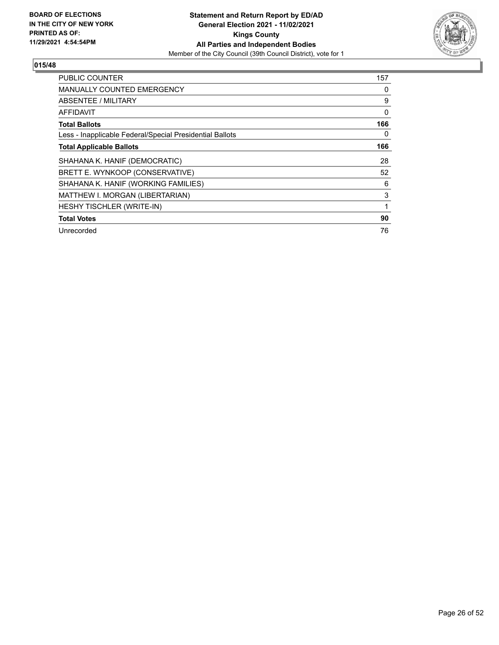

| <b>PUBLIC COUNTER</b>                                    | 157      |
|----------------------------------------------------------|----------|
| <b>MANUALLY COUNTED EMERGENCY</b>                        | 0        |
| ABSENTEE / MILITARY                                      | 9        |
| AFFIDAVIT                                                | $\Omega$ |
| <b>Total Ballots</b>                                     | 166      |
| Less - Inapplicable Federal/Special Presidential Ballots | 0        |
| <b>Total Applicable Ballots</b>                          | 166      |
| SHAHANA K. HANIF (DEMOCRATIC)                            | 28       |
| BRETT E. WYNKOOP (CONSERVATIVE)                          | 52       |
| SHAHANA K. HANIF (WORKING FAMILIES)                      | 6        |
| MATTHEW I. MORGAN (LIBERTARIAN)                          | 3        |
| HESHY TISCHLER (WRITE-IN)                                | 1        |
| <b>Total Votes</b>                                       | 90       |
| Unrecorded                                               | 76       |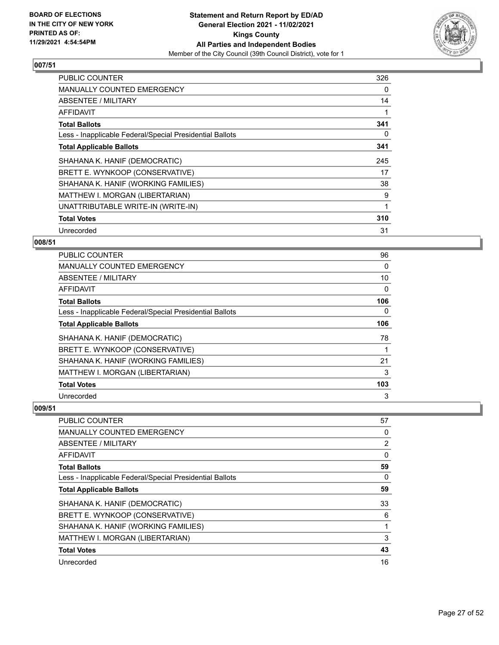

| <b>PUBLIC COUNTER</b>                                    | 326 |
|----------------------------------------------------------|-----|
| <b>MANUALLY COUNTED EMERGENCY</b>                        | 0   |
| ABSENTEE / MILITARY                                      | 14  |
| AFFIDAVIT                                                |     |
| <b>Total Ballots</b>                                     | 341 |
| Less - Inapplicable Federal/Special Presidential Ballots | 0   |
| <b>Total Applicable Ballots</b>                          | 341 |
| SHAHANA K. HANIF (DEMOCRATIC)                            | 245 |
| BRETT E. WYNKOOP (CONSERVATIVE)                          | 17  |
| SHAHANA K. HANIF (WORKING FAMILIES)                      | 38  |
| MATTHEW I. MORGAN (LIBERTARIAN)                          | 9   |
| UNATTRIBUTABLE WRITE-IN (WRITE-IN)                       | 1   |
| <b>Total Votes</b>                                       | 310 |
| Unrecorded                                               | 31  |

## **008/51**

| PUBLIC COUNTER                                           | 96  |
|----------------------------------------------------------|-----|
| MANUALLY COUNTED EMERGENCY                               | 0   |
| ABSENTEE / MILITARY                                      | 10  |
| AFFIDAVIT                                                | 0   |
| <b>Total Ballots</b>                                     | 106 |
| Less - Inapplicable Federal/Special Presidential Ballots | 0   |
| <b>Total Applicable Ballots</b>                          | 106 |
| SHAHANA K. HANIF (DEMOCRATIC)                            | 78  |
| BRETT E. WYNKOOP (CONSERVATIVE)                          | 1   |
| SHAHANA K. HANIF (WORKING FAMILIES)                      | 21  |
| MATTHEW I. MORGAN (LIBERTARIAN)                          | 3   |
| <b>Total Votes</b>                                       | 103 |
| Unrecorded                                               | 3   |

| PUBLIC COUNTER                                           | 57             |
|----------------------------------------------------------|----------------|
| <b>MANUALLY COUNTED EMERGENCY</b>                        | $\Omega$       |
| ABSENTEE / MILITARY                                      | $\overline{2}$ |
| AFFIDAVIT                                                | $\Omega$       |
| <b>Total Ballots</b>                                     | 59             |
| Less - Inapplicable Federal/Special Presidential Ballots | 0              |
| <b>Total Applicable Ballots</b>                          | 59             |
| SHAHANA K. HANIF (DEMOCRATIC)                            | 33             |
| BRETT E. WYNKOOP (CONSERVATIVE)                          | 6              |
| SHAHANA K. HANIF (WORKING FAMILIES)                      |                |
| MATTHEW I. MORGAN (LIBERTARIAN)                          | 3              |
| <b>Total Votes</b>                                       | 43             |
| Unrecorded                                               | 16             |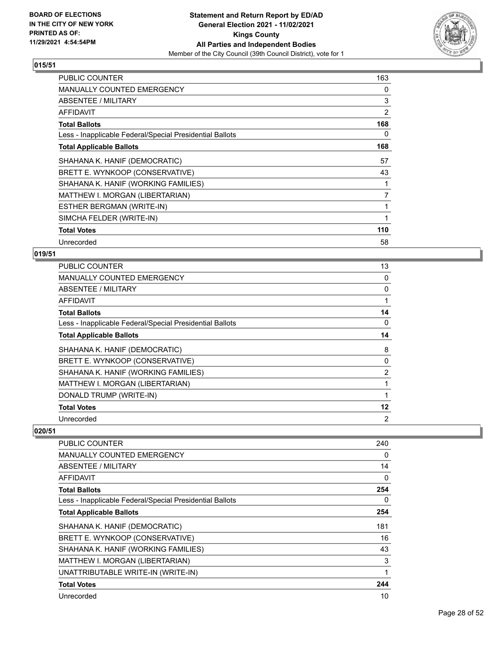

| <b>PUBLIC COUNTER</b>                                    | 163            |
|----------------------------------------------------------|----------------|
| <b>MANUALLY COUNTED EMERGENCY</b>                        | 0              |
| ABSENTEE / MILITARY                                      | 3              |
| <b>AFFIDAVIT</b>                                         | 2              |
| <b>Total Ballots</b>                                     | 168            |
| Less - Inapplicable Federal/Special Presidential Ballots | 0              |
| <b>Total Applicable Ballots</b>                          | 168            |
| SHAHANA K. HANIF (DEMOCRATIC)                            | 57             |
| BRETT E. WYNKOOP (CONSERVATIVE)                          | 43             |
| SHAHANA K. HANIF (WORKING FAMILIES)                      |                |
| MATTHEW I. MORGAN (LIBERTARIAN)                          | $\overline{7}$ |
| ESTHER BERGMAN (WRITE-IN)                                | 1              |
| SIMCHA FELDER (WRITE-IN)                                 | 1              |
| <b>Total Votes</b>                                       | 110            |
| Unrecorded                                               | 58             |

## **019/51**

| PUBLIC COUNTER                                           | 13             |
|----------------------------------------------------------|----------------|
| MANUALLY COUNTED EMERGENCY                               | 0              |
| ABSENTEE / MILITARY                                      | 0              |
| AFFIDAVIT                                                |                |
| <b>Total Ballots</b>                                     | 14             |
| Less - Inapplicable Federal/Special Presidential Ballots | 0              |
| <b>Total Applicable Ballots</b>                          | 14             |
| SHAHANA K. HANIF (DEMOCRATIC)                            | 8              |
| BRETT E. WYNKOOP (CONSERVATIVE)                          | 0              |
| SHAHANA K. HANIF (WORKING FAMILIES)                      | $\overline{2}$ |
| MATTHEW I. MORGAN (LIBERTARIAN)                          |                |
| DONALD TRUMP (WRITE-IN)                                  |                |
| <b>Total Votes</b>                                       | 12             |
| Unrecorded                                               | 2              |

| PUBLIC COUNTER                                           | 240      |
|----------------------------------------------------------|----------|
| <b>MANUALLY COUNTED EMERGENCY</b>                        | 0        |
| ABSENTEE / MILITARY                                      | 14       |
| AFFIDAVIT                                                | $\Omega$ |
| <b>Total Ballots</b>                                     | 254      |
| Less - Inapplicable Federal/Special Presidential Ballots | 0        |
| <b>Total Applicable Ballots</b>                          | 254      |
| SHAHANA K. HANIF (DEMOCRATIC)                            | 181      |
| BRETT E. WYNKOOP (CONSERVATIVE)                          | 16       |
| SHAHANA K. HANIF (WORKING FAMILIES)                      | 43       |
| MATTHEW I. MORGAN (LIBERTARIAN)                          | 3        |
| UNATTRIBUTABLE WRITE-IN (WRITE-IN)                       | 1        |
| <b>Total Votes</b>                                       | 244      |
| Unrecorded                                               | 10       |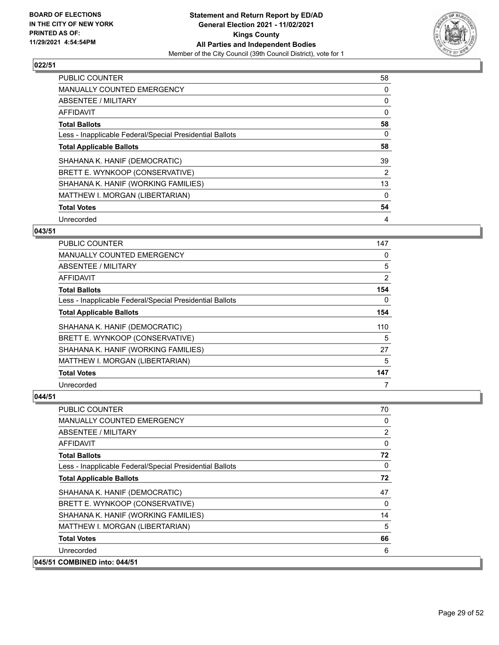

| <b>PUBLIC COUNTER</b>                                    | 58 |
|----------------------------------------------------------|----|
| <b>MANUALLY COUNTED EMERGENCY</b>                        | 0  |
| ABSENTEE / MILITARY                                      | 0  |
| <b>AFFIDAVIT</b>                                         | 0  |
| <b>Total Ballots</b>                                     | 58 |
| Less - Inapplicable Federal/Special Presidential Ballots | 0  |
| <b>Total Applicable Ballots</b>                          | 58 |
| SHAHANA K. HANIF (DEMOCRATIC)                            | 39 |
| BRETT E. WYNKOOP (CONSERVATIVE)                          | 2  |
| SHAHANA K. HANIF (WORKING FAMILIES)                      | 13 |
| MATTHEW I. MORGAN (LIBERTARIAN)                          | 0  |
| <b>Total Votes</b>                                       | 54 |
| Unrecorded                                               | 4  |

## **043/51**

| PUBLIC COUNTER                                           | 147      |
|----------------------------------------------------------|----------|
| MANUALLY COUNTED EMERGENCY                               | 0        |
| ABSENTEE / MILITARY                                      | 5        |
| AFFIDAVIT                                                | 2        |
| <b>Total Ballots</b>                                     | 154      |
| Less - Inapplicable Federal/Special Presidential Ballots | $\Omega$ |
| <b>Total Applicable Ballots</b>                          | 154      |
| SHAHANA K. HANIF (DEMOCRATIC)                            | 110      |
| BRETT E. WYNKOOP (CONSERVATIVE)                          | 5        |
| SHAHANA K. HANIF (WORKING FAMILIES)                      | 27       |
| MATTHEW I. MORGAN (LIBERTARIAN)                          | 5        |
| <b>Total Votes</b>                                       | 147      |
| Unrecorded                                               | 7        |

| PUBLIC COUNTER                                           | 70           |
|----------------------------------------------------------|--------------|
| <b>MANUALLY COUNTED EMERGENCY</b>                        | 0            |
| ABSENTEE / MILITARY                                      | 2            |
| <b>AFFIDAVIT</b>                                         | $\mathbf{0}$ |
| <b>Total Ballots</b>                                     | 72           |
| Less - Inapplicable Federal/Special Presidential Ballots | $\mathbf{0}$ |
| <b>Total Applicable Ballots</b>                          | 72           |
| SHAHANA K. HANIF (DEMOCRATIC)                            | 47           |
| BRETT E. WYNKOOP (CONSERVATIVE)                          | $\mathbf{0}$ |
| SHAHANA K. HANIF (WORKING FAMILIES)                      | 14           |
| MATTHEW I. MORGAN (LIBERTARIAN)                          | 5            |
| <b>Total Votes</b>                                       | 66           |
| Unrecorded                                               | 6            |
| 045/51 COMBINED into: 044/51                             |              |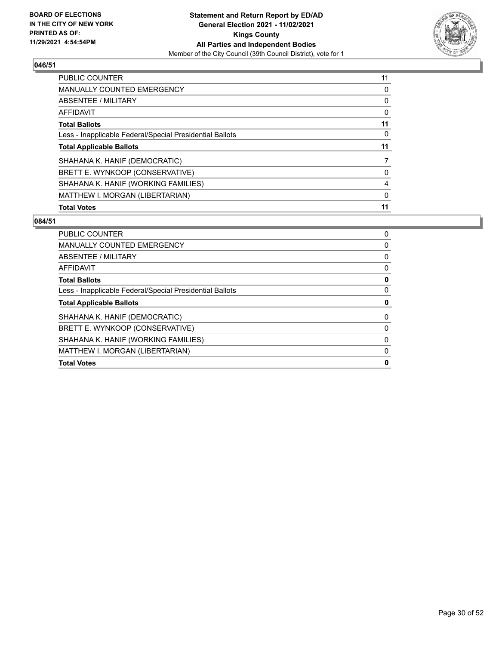

| PUBLIC COUNTER                                           | 11 |
|----------------------------------------------------------|----|
| <b>MANUALLY COUNTED EMERGENCY</b>                        | 0  |
| ABSENTEE / MILITARY                                      | 0  |
| AFFIDAVIT                                                | 0  |
| <b>Total Ballots</b>                                     | 11 |
| Less - Inapplicable Federal/Special Presidential Ballots | 0  |
| <b>Total Applicable Ballots</b>                          | 11 |
| SHAHANA K. HANIF (DEMOCRATIC)                            |    |
| BRETT E. WYNKOOP (CONSERVATIVE)                          | 0  |
| SHAHANA K. HANIF (WORKING FAMILIES)                      | 4  |
| MATTHEW I. MORGAN (LIBERTARIAN)                          | 0  |
| <b>Total Votes</b>                                       | 11 |

| PUBLIC COUNTER                                           | 0 |
|----------------------------------------------------------|---|
| <b>MANUALLY COUNTED EMERGENCY</b>                        | 0 |
| ABSENTEE / MILITARY                                      | 0 |
| AFFIDAVIT                                                | 0 |
| <b>Total Ballots</b>                                     | 0 |
| Less - Inapplicable Federal/Special Presidential Ballots | 0 |
| <b>Total Applicable Ballots</b>                          | 0 |
| SHAHANA K. HANIF (DEMOCRATIC)                            | 0 |
| BRETT E. WYNKOOP (CONSERVATIVE)                          | 0 |
| SHAHANA K. HANIF (WORKING FAMILIES)                      | 0 |
| MATTHEW I. MORGAN (LIBERTARIAN)                          | 0 |
| <b>Total Votes</b>                                       | 0 |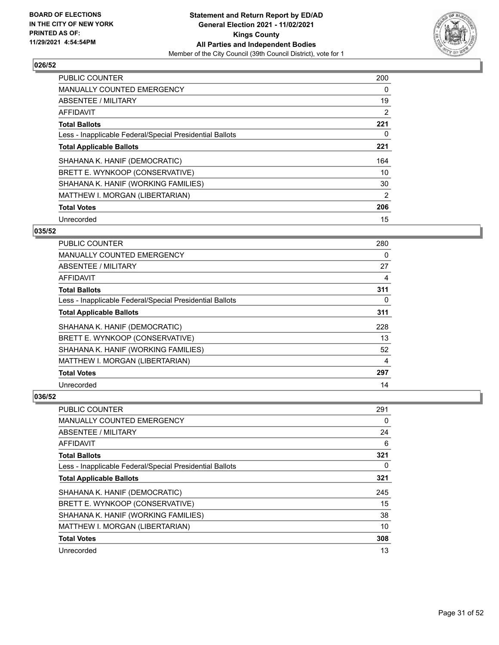

| <b>PUBLIC COUNTER</b>                                    | 200 |
|----------------------------------------------------------|-----|
| <b>MANUALLY COUNTED EMERGENCY</b>                        | 0   |
| ABSENTEE / MILITARY                                      | 19  |
| <b>AFFIDAVIT</b>                                         | 2   |
| <b>Total Ballots</b>                                     | 221 |
| Less - Inapplicable Federal/Special Presidential Ballots | 0   |
| <b>Total Applicable Ballots</b>                          | 221 |
| SHAHANA K. HANIF (DEMOCRATIC)                            | 164 |
| BRETT E. WYNKOOP (CONSERVATIVE)                          | 10  |
| SHAHANA K. HANIF (WORKING FAMILIES)                      | 30  |
| MATTHEW I. MORGAN (LIBERTARIAN)                          | 2   |
| <b>Total Votes</b>                                       | 206 |
| Unrecorded                                               | 15  |

## **035/52**

| <b>PUBLIC COUNTER</b>                                    | 280 |
|----------------------------------------------------------|-----|
| <b>MANUALLY COUNTED EMERGENCY</b>                        | 0   |
| ABSENTEE / MILITARY                                      | 27  |
| AFFIDAVIT                                                | 4   |
| <b>Total Ballots</b>                                     | 311 |
| Less - Inapplicable Federal/Special Presidential Ballots | 0   |
| <b>Total Applicable Ballots</b>                          | 311 |
| SHAHANA K. HANIF (DEMOCRATIC)                            | 228 |
| BRETT E. WYNKOOP (CONSERVATIVE)                          | 13  |
| SHAHANA K. HANIF (WORKING FAMILIES)                      | 52  |
| MATTHEW I. MORGAN (LIBERTARIAN)                          | 4   |
| <b>Total Votes</b>                                       | 297 |
| Unrecorded                                               | 14  |

| PUBLIC COUNTER                                           | 291 |
|----------------------------------------------------------|-----|
| <b>MANUALLY COUNTED EMERGENCY</b>                        | 0   |
| ABSENTEE / MILITARY                                      | 24  |
| AFFIDAVIT                                                | 6   |
| <b>Total Ballots</b>                                     | 321 |
| Less - Inapplicable Federal/Special Presidential Ballots | 0   |
| <b>Total Applicable Ballots</b>                          | 321 |
| SHAHANA K. HANIF (DEMOCRATIC)                            | 245 |
| BRETT E. WYNKOOP (CONSERVATIVE)                          | 15  |
| SHAHANA K. HANIF (WORKING FAMILIES)                      | 38  |
| MATTHEW I. MORGAN (LIBERTARIAN)                          | 10  |
| <b>Total Votes</b>                                       | 308 |
| Unrecorded                                               | 13  |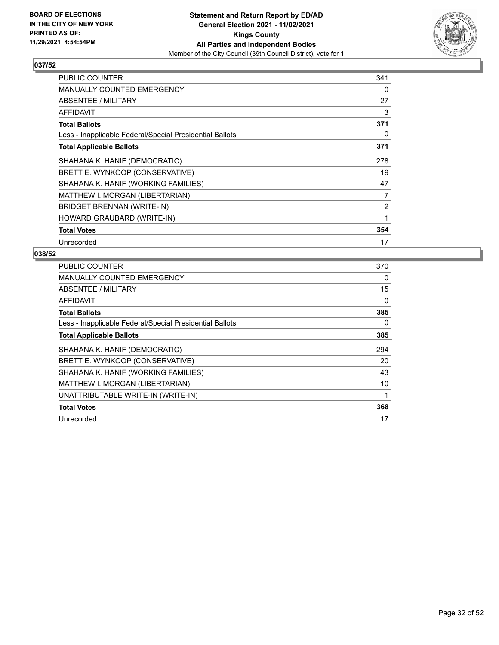

| <b>PUBLIC COUNTER</b>                                    | 341 |
|----------------------------------------------------------|-----|
| <b>MANUALLY COUNTED EMERGENCY</b>                        | 0   |
| ABSENTEE / MILITARY                                      | 27  |
| <b>AFFIDAVIT</b>                                         | 3   |
| <b>Total Ballots</b>                                     | 371 |
| Less - Inapplicable Federal/Special Presidential Ballots | 0   |
| <b>Total Applicable Ballots</b>                          | 371 |
| SHAHANA K. HANIF (DEMOCRATIC)                            | 278 |
| BRETT E. WYNKOOP (CONSERVATIVE)                          | 19  |
| SHAHANA K. HANIF (WORKING FAMILIES)                      | 47  |
| MATTHEW I. MORGAN (LIBERTARIAN)                          | 7   |
| <b>BRIDGET BRENNAN (WRITE-IN)</b>                        | 2   |
| HOWARD GRAUBARD (WRITE-IN)                               | 1   |
| <b>Total Votes</b>                                       | 354 |
| Unrecorded                                               | 17  |

| PUBLIC COUNTER                                           | 370 |
|----------------------------------------------------------|-----|
| <b>MANUALLY COUNTED EMERGENCY</b>                        | 0   |
| ABSENTEE / MILITARY                                      | 15  |
| AFFIDAVIT                                                | 0   |
| <b>Total Ballots</b>                                     | 385 |
| Less - Inapplicable Federal/Special Presidential Ballots | 0   |
| <b>Total Applicable Ballots</b>                          | 385 |
| SHAHANA K. HANIF (DEMOCRATIC)                            | 294 |
| BRETT E. WYNKOOP (CONSERVATIVE)                          | 20  |
| SHAHANA K. HANIF (WORKING FAMILIES)                      | 43  |
| MATTHEW I. MORGAN (LIBERTARIAN)                          | 10  |
| UNATTRIBUTABLE WRITE-IN (WRITE-IN)                       |     |
| <b>Total Votes</b>                                       | 368 |
| Unrecorded                                               | 17  |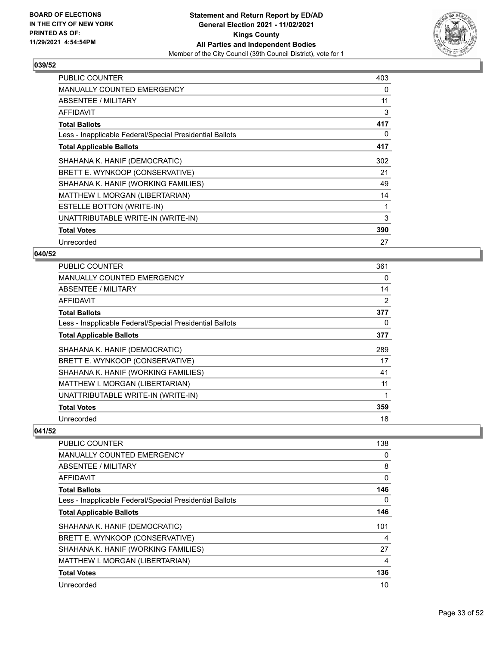

| <b>PUBLIC COUNTER</b>                                    | 403 |
|----------------------------------------------------------|-----|
| <b>MANUALLY COUNTED EMERGENCY</b>                        | 0   |
| ABSENTEE / MILITARY                                      | 11  |
| <b>AFFIDAVIT</b>                                         | 3   |
| <b>Total Ballots</b>                                     | 417 |
| Less - Inapplicable Federal/Special Presidential Ballots | 0   |
| <b>Total Applicable Ballots</b>                          | 417 |
| SHAHANA K. HANIF (DEMOCRATIC)                            | 302 |
| BRETT E. WYNKOOP (CONSERVATIVE)                          | 21  |
| SHAHANA K. HANIF (WORKING FAMILIES)                      | 49  |
| MATTHEW I. MORGAN (LIBERTARIAN)                          | 14  |
| <b>ESTELLE BOTTON (WRITE-IN)</b>                         | 1   |
| UNATTRIBUTABLE WRITE-IN (WRITE-IN)                       | 3   |
| <b>Total Votes</b>                                       | 390 |
| Unrecorded                                               | 27  |

## **040/52**

| PUBLIC COUNTER                                           | 361 |
|----------------------------------------------------------|-----|
| MANUALLY COUNTED EMERGENCY                               | 0   |
| ABSENTEE / MILITARY                                      | 14  |
| AFFIDAVIT                                                | 2   |
| <b>Total Ballots</b>                                     | 377 |
| Less - Inapplicable Federal/Special Presidential Ballots | 0   |
| <b>Total Applicable Ballots</b>                          | 377 |
| SHAHANA K. HANIF (DEMOCRATIC)                            | 289 |
| BRETT E. WYNKOOP (CONSERVATIVE)                          | 17  |
| SHAHANA K. HANIF (WORKING FAMILIES)                      | 41  |
| MATTHEW I. MORGAN (LIBERTARIAN)                          | 11  |
| UNATTRIBUTABLE WRITE-IN (WRITE-IN)                       | 1   |
| <b>Total Votes</b>                                       | 359 |
| Unrecorded                                               | 18  |

| <b>PUBLIC COUNTER</b>                                    | 138            |
|----------------------------------------------------------|----------------|
| <b>MANUALLY COUNTED EMERGENCY</b>                        | 0              |
| ABSENTEE / MILITARY                                      | 8              |
| AFFIDAVIT                                                | 0              |
| <b>Total Ballots</b>                                     | 146            |
| Less - Inapplicable Federal/Special Presidential Ballots | 0              |
| <b>Total Applicable Ballots</b>                          | 146            |
| SHAHANA K. HANIF (DEMOCRATIC)                            | 101            |
| BRETT E. WYNKOOP (CONSERVATIVE)                          | $\overline{4}$ |
| SHAHANA K. HANIF (WORKING FAMILIES)                      | 27             |
| MATTHEW I. MORGAN (LIBERTARIAN)                          | 4              |
| <b>Total Votes</b>                                       | 136            |
| Unrecorded                                               | 10             |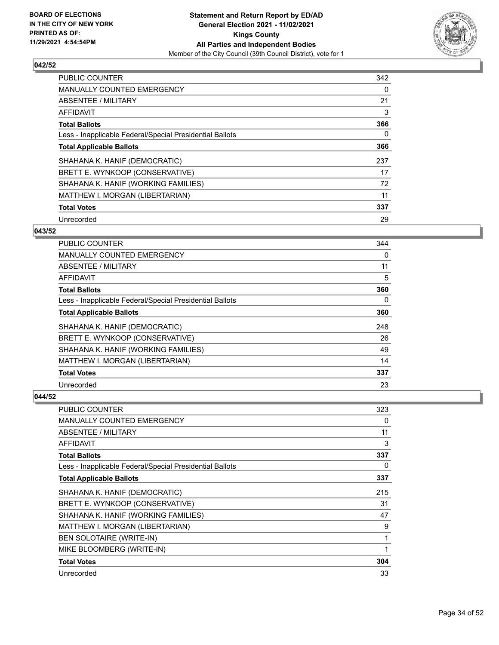

| <b>PUBLIC COUNTER</b>                                    | 342 |
|----------------------------------------------------------|-----|
| <b>MANUALLY COUNTED EMERGENCY</b>                        | 0   |
| ABSENTEE / MILITARY                                      | 21  |
| <b>AFFIDAVIT</b>                                         | 3   |
| <b>Total Ballots</b>                                     | 366 |
| Less - Inapplicable Federal/Special Presidential Ballots | 0   |
| <b>Total Applicable Ballots</b>                          | 366 |
| SHAHANA K. HANIF (DEMOCRATIC)                            | 237 |
| BRETT E. WYNKOOP (CONSERVATIVE)                          | 17  |
| SHAHANA K. HANIF (WORKING FAMILIES)                      | 72  |
| MATTHEW I. MORGAN (LIBERTARIAN)                          | 11  |
| <b>Total Votes</b>                                       | 337 |
| Unrecorded                                               | 29  |

## **043/52**

| <b>PUBLIC COUNTER</b>                                    | 344      |
|----------------------------------------------------------|----------|
| MANUALLY COUNTED EMERGENCY                               | 0        |
| ABSENTEE / MILITARY                                      | 11       |
| AFFIDAVIT                                                | 5        |
| <b>Total Ballots</b>                                     | 360      |
| Less - Inapplicable Federal/Special Presidential Ballots | $\Omega$ |
| <b>Total Applicable Ballots</b>                          | 360      |
| SHAHANA K. HANIF (DEMOCRATIC)                            | 248      |
| BRETT E. WYNKOOP (CONSERVATIVE)                          | 26       |
| SHAHANA K. HANIF (WORKING FAMILIES)                      | 49       |
| MATTHEW I. MORGAN (LIBERTARIAN)                          | 14       |
| <b>Total Votes</b>                                       | 337      |
| Unrecorded                                               | 23       |

| <b>PUBLIC COUNTER</b>                                    | 323 |
|----------------------------------------------------------|-----|
| <b>MANUALLY COUNTED EMERGENCY</b>                        | 0   |
| ABSENTEE / MILITARY                                      | 11  |
| AFFIDAVIT                                                | 3   |
| <b>Total Ballots</b>                                     | 337 |
| Less - Inapplicable Federal/Special Presidential Ballots | 0   |
| <b>Total Applicable Ballots</b>                          | 337 |
| SHAHANA K. HANIF (DEMOCRATIC)                            | 215 |
| BRETT E. WYNKOOP (CONSERVATIVE)                          | 31  |
| SHAHANA K. HANIF (WORKING FAMILIES)                      | 47  |
| MATTHEW I. MORGAN (LIBERTARIAN)                          | 9   |
| <b>BEN SOLOTAIRE (WRITE-IN)</b>                          | 1   |
| MIKE BLOOMBERG (WRITE-IN)                                | 1   |
| <b>Total Votes</b>                                       | 304 |
| Unrecorded                                               | 33  |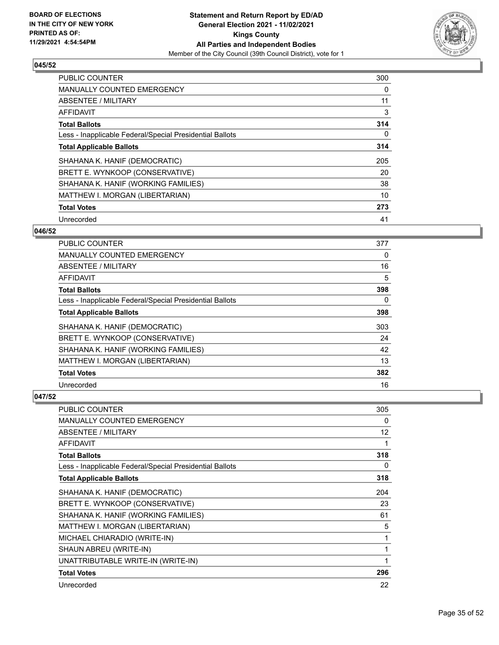

| <b>PUBLIC COUNTER</b>                                    | 300 |
|----------------------------------------------------------|-----|
| <b>MANUALLY COUNTED EMERGENCY</b>                        | 0   |
| ABSENTEE / MILITARY                                      | 11  |
| <b>AFFIDAVIT</b>                                         | 3   |
| <b>Total Ballots</b>                                     | 314 |
| Less - Inapplicable Federal/Special Presidential Ballots | 0   |
| <b>Total Applicable Ballots</b>                          | 314 |
| SHAHANA K. HANIF (DEMOCRATIC)                            | 205 |
| BRETT E. WYNKOOP (CONSERVATIVE)                          | 20  |
| SHAHANA K. HANIF (WORKING FAMILIES)                      | 38  |
| MATTHEW I. MORGAN (LIBERTARIAN)                          | 10  |
| <b>Total Votes</b>                                       | 273 |
| Unrecorded                                               | 41  |

## **046/52**

| <b>PUBLIC COUNTER</b>                                    | 377      |
|----------------------------------------------------------|----------|
| MANUALLY COUNTED EMERGENCY                               | 0        |
| ABSENTEE / MILITARY                                      | 16       |
| AFFIDAVIT                                                | 5        |
| <b>Total Ballots</b>                                     | 398      |
| Less - Inapplicable Federal/Special Presidential Ballots | $\Omega$ |
| <b>Total Applicable Ballots</b>                          | 398      |
| SHAHANA K. HANIF (DEMOCRATIC)                            | 303      |
| BRETT E. WYNKOOP (CONSERVATIVE)                          | 24       |
| SHAHANA K. HANIF (WORKING FAMILIES)                      | 42       |
| MATTHEW I. MORGAN (LIBERTARIAN)                          | 13       |
| <b>Total Votes</b>                                       | 382      |
| Unrecorded                                               | 16       |

| <b>PUBLIC COUNTER</b>                                    | 305 |
|----------------------------------------------------------|-----|
| <b>MANUALLY COUNTED EMERGENCY</b>                        | 0   |
| ABSENTEE / MILITARY                                      | 12  |
| <b>AFFIDAVIT</b>                                         |     |
| <b>Total Ballots</b>                                     | 318 |
| Less - Inapplicable Federal/Special Presidential Ballots | 0   |
| <b>Total Applicable Ballots</b>                          | 318 |
| SHAHANA K. HANIF (DEMOCRATIC)                            | 204 |
| BRETT E. WYNKOOP (CONSERVATIVE)                          | 23  |
| SHAHANA K. HANIF (WORKING FAMILIES)                      | 61  |
| MATTHEW I. MORGAN (LIBERTARIAN)                          | 5   |
| MICHAEL CHIARADIO (WRITE-IN)                             | 1   |
| SHAUN ABREU (WRITE-IN)                                   | 1   |
| UNATTRIBUTABLE WRITE-IN (WRITE-IN)                       | 1   |
| <b>Total Votes</b>                                       | 296 |
| Unrecorded                                               | 22  |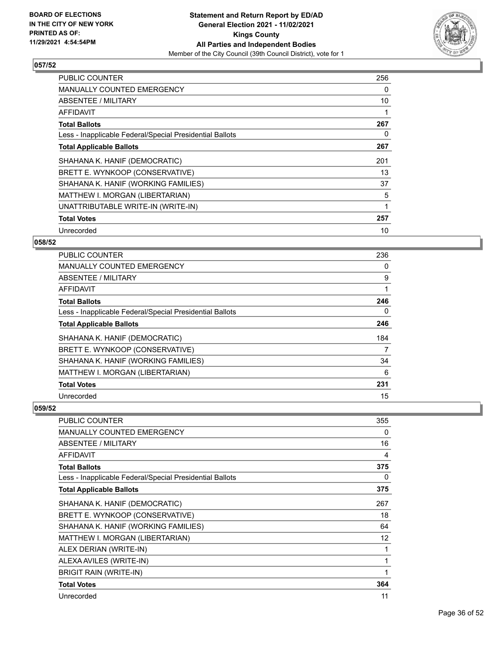

| <b>PUBLIC COUNTER</b>                                    | 256 |
|----------------------------------------------------------|-----|
| <b>MANUALLY COUNTED EMERGENCY</b>                        | 0   |
| <b>ABSENTEE / MILITARY</b>                               | 10  |
| <b>AFFIDAVIT</b>                                         |     |
| <b>Total Ballots</b>                                     | 267 |
| Less - Inapplicable Federal/Special Presidential Ballots | 0   |
| <b>Total Applicable Ballots</b>                          | 267 |
| SHAHANA K. HANIF (DEMOCRATIC)                            | 201 |
| BRETT E. WYNKOOP (CONSERVATIVE)                          | 13  |
| SHAHANA K. HANIF (WORKING FAMILIES)                      | 37  |
| MATTHEW I. MORGAN (LIBERTARIAN)                          | 5   |
| UNATTRIBUTABLE WRITE-IN (WRITE-IN)                       | 1   |
| <b>Total Votes</b>                                       | 257 |
| Unrecorded                                               | 10  |

## **058/52**

| PUBLIC COUNTER                                           | 236      |
|----------------------------------------------------------|----------|
| MANUALLY COUNTED EMERGENCY                               | $\Omega$ |
| ABSENTEE / MILITARY                                      | 9        |
| AFFIDAVIT                                                |          |
| <b>Total Ballots</b>                                     | 246      |
| Less - Inapplicable Federal/Special Presidential Ballots | $\Omega$ |
| <b>Total Applicable Ballots</b>                          | 246      |
| SHAHANA K. HANIF (DEMOCRATIC)                            | 184      |
| BRETT E. WYNKOOP (CONSERVATIVE)                          | 7        |
| SHAHANA K. HANIF (WORKING FAMILIES)                      | 34       |
| MATTHEW I. MORGAN (LIBERTARIAN)                          | 6        |
| <b>Total Votes</b>                                       | 231      |
| Unrecorded                                               | 15       |

| <b>PUBLIC COUNTER</b>                                    | 355 |
|----------------------------------------------------------|-----|
| <b>MANUALLY COUNTED EMERGENCY</b>                        | 0   |
| ABSENTEE / MILITARY                                      | 16  |
| <b>AFFIDAVIT</b>                                         | 4   |
| <b>Total Ballots</b>                                     | 375 |
| Less - Inapplicable Federal/Special Presidential Ballots | 0   |
| <b>Total Applicable Ballots</b>                          | 375 |
| SHAHANA K. HANIF (DEMOCRATIC)                            | 267 |
| BRETT E. WYNKOOP (CONSERVATIVE)                          | 18  |
| SHAHANA K. HANIF (WORKING FAMILIES)                      | 64  |
| MATTHEW I. MORGAN (LIBERTARIAN)                          | 12  |
| ALEX DERIAN (WRITE-IN)                                   | 1   |
| ALEXA AVILES (WRITE-IN)                                  | 1   |
| <b>BRIGIT RAIN (WRITE-IN)</b>                            | 1   |
| <b>Total Votes</b>                                       | 364 |
| Unrecorded                                               | 11  |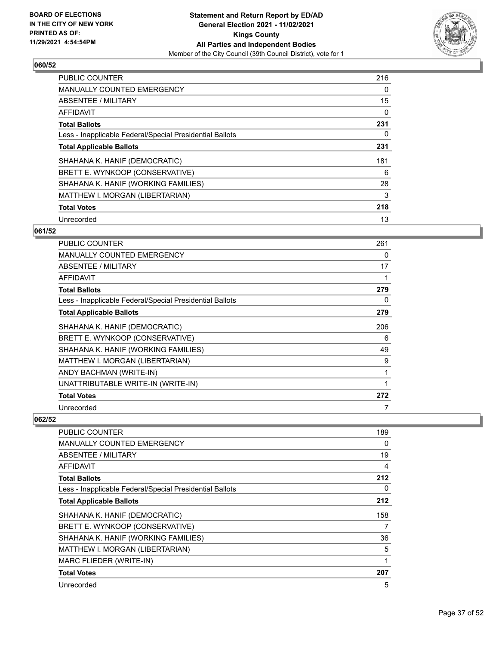

| <b>PUBLIC COUNTER</b>                                    | 216 |
|----------------------------------------------------------|-----|
| <b>MANUALLY COUNTED EMERGENCY</b>                        | 0   |
| ABSENTEE / MILITARY                                      | 15  |
| <b>AFFIDAVIT</b>                                         | 0   |
| <b>Total Ballots</b>                                     | 231 |
| Less - Inapplicable Federal/Special Presidential Ballots | 0   |
| <b>Total Applicable Ballots</b>                          | 231 |
| SHAHANA K. HANIF (DEMOCRATIC)                            | 181 |
| BRETT E. WYNKOOP (CONSERVATIVE)                          | 6   |
| SHAHANA K. HANIF (WORKING FAMILIES)                      | 28  |
| MATTHEW I. MORGAN (LIBERTARIAN)                          | 3   |
| <b>Total Votes</b>                                       | 218 |
| Unrecorded                                               | 13  |

## **061/52**

| PUBLIC COUNTER                                           | 261 |
|----------------------------------------------------------|-----|
| <b>MANUALLY COUNTED EMERGENCY</b>                        | 0   |
| <b>ABSENTEE / MILITARY</b>                               | 17  |
| AFFIDAVIT                                                | 1   |
| <b>Total Ballots</b>                                     | 279 |
| Less - Inapplicable Federal/Special Presidential Ballots | 0   |
| <b>Total Applicable Ballots</b>                          | 279 |
| SHAHANA K. HANIF (DEMOCRATIC)                            | 206 |
| BRETT E. WYNKOOP (CONSERVATIVE)                          | 6   |
| SHAHANA K. HANIF (WORKING FAMILIES)                      | 49  |
| MATTHEW I. MORGAN (LIBERTARIAN)                          | 9   |
| ANDY BACHMAN (WRITE-IN)                                  | 1   |
| UNATTRIBUTABLE WRITE-IN (WRITE-IN)                       | 1   |
| <b>Total Votes</b>                                       | 272 |
| Unrecorded                                               | 7   |

| PUBLIC COUNTER                                           | 189 |
|----------------------------------------------------------|-----|
| <b>MANUALLY COUNTED EMERGENCY</b>                        | 0   |
| <b>ABSENTEE / MILITARY</b>                               | 19  |
| AFFIDAVIT                                                | 4   |
| <b>Total Ballots</b>                                     | 212 |
| Less - Inapplicable Federal/Special Presidential Ballots | 0   |
| <b>Total Applicable Ballots</b>                          | 212 |
| SHAHANA K. HANIF (DEMOCRATIC)                            | 158 |
| BRETT E. WYNKOOP (CONSERVATIVE)                          | 7   |
| SHAHANA K. HANIF (WORKING FAMILIES)                      | 36  |
| MATTHEW I. MORGAN (LIBERTARIAN)                          | 5   |
| MARC FLIEDER (WRITE-IN)                                  | 1   |
| <b>Total Votes</b>                                       | 207 |
| Unrecorded                                               | 5   |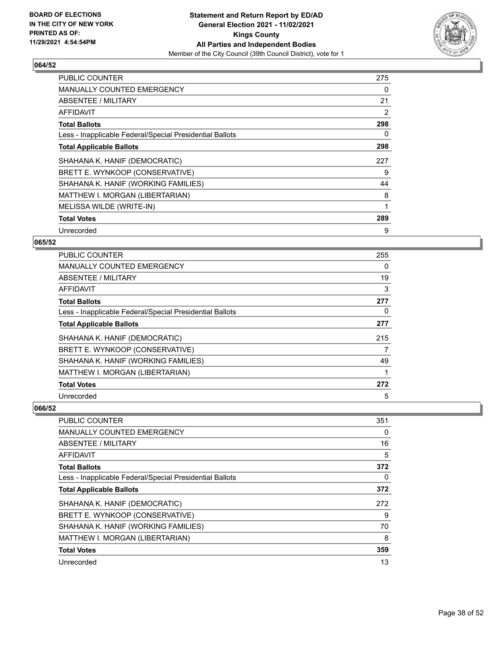

| PUBLIC COUNTER                                           | 275 |
|----------------------------------------------------------|-----|
| <b>MANUALLY COUNTED EMERGENCY</b>                        | 0   |
| ABSENTEE / MILITARY                                      | 21  |
| <b>AFFIDAVIT</b>                                         | 2   |
| <b>Total Ballots</b>                                     | 298 |
| Less - Inapplicable Federal/Special Presidential Ballots | 0   |
| <b>Total Applicable Ballots</b>                          | 298 |
| SHAHANA K. HANIF (DEMOCRATIC)                            | 227 |
| BRETT E. WYNKOOP (CONSERVATIVE)                          | 9   |
| SHAHANA K. HANIF (WORKING FAMILIES)                      | 44  |
| MATTHEW I. MORGAN (LIBERTARIAN)                          | 8   |
| MELISSA WILDE (WRITE-IN)                                 | 1   |
| <b>Total Votes</b>                                       | 289 |
| Unrecorded                                               | 9   |

## **065/52**

| PUBLIC COUNTER                                           | 255      |
|----------------------------------------------------------|----------|
| MANUALLY COUNTED EMERGENCY                               | $\Omega$ |
| ABSENTEE / MILITARY                                      | 19       |
| AFFIDAVIT                                                | 3        |
| <b>Total Ballots</b>                                     | 277      |
| Less - Inapplicable Federal/Special Presidential Ballots | $\Omega$ |
| <b>Total Applicable Ballots</b>                          | 277      |
| SHAHANA K. HANIF (DEMOCRATIC)                            | 215      |
| BRETT E. WYNKOOP (CONSERVATIVE)                          | 7        |
| SHAHANA K. HANIF (WORKING FAMILIES)                      | 49       |
| MATTHEW I. MORGAN (LIBERTARIAN)                          |          |
| <b>Total Votes</b>                                       | 272      |
| Unrecorded                                               | 5        |

| PUBLIC COUNTER                                           | 351 |
|----------------------------------------------------------|-----|
| <b>MANUALLY COUNTED EMERGENCY</b>                        | 0   |
| ABSENTEE / MILITARY                                      | 16  |
| AFFIDAVIT                                                | 5   |
| <b>Total Ballots</b>                                     | 372 |
| Less - Inapplicable Federal/Special Presidential Ballots | 0   |
| <b>Total Applicable Ballots</b>                          | 372 |
| SHAHANA K. HANIF (DEMOCRATIC)                            | 272 |
| BRETT E. WYNKOOP (CONSERVATIVE)                          | 9   |
| SHAHANA K. HANIF (WORKING FAMILIES)                      | 70  |
| MATTHEW I. MORGAN (LIBERTARIAN)                          | 8   |
| <b>Total Votes</b>                                       | 359 |
| Unrecorded                                               | 13  |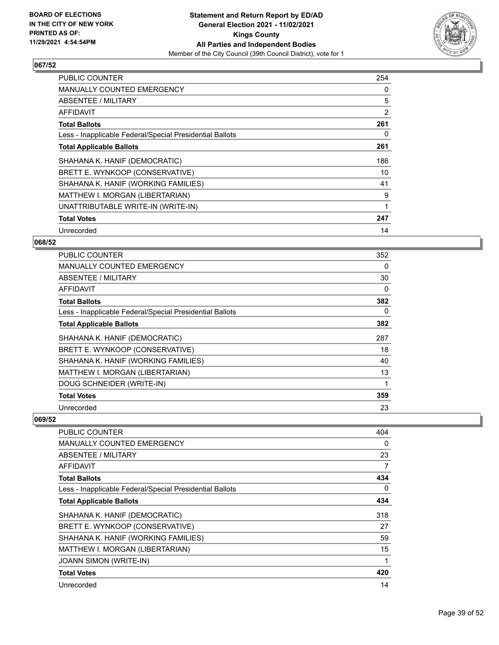

| <b>PUBLIC COUNTER</b>                                    | 254 |
|----------------------------------------------------------|-----|
| MANUALLY COUNTED EMERGENCY                               | 0   |
| <b>ABSENTEE / MILITARY</b>                               | 5   |
| <b>AFFIDAVIT</b>                                         | 2   |
| <b>Total Ballots</b>                                     | 261 |
| Less - Inapplicable Federal/Special Presidential Ballots | 0   |
| <b>Total Applicable Ballots</b>                          | 261 |
| SHAHANA K. HANIF (DEMOCRATIC)                            | 186 |
| BRETT E. WYNKOOP (CONSERVATIVE)                          | 10  |
| SHAHANA K. HANIF (WORKING FAMILIES)                      | 41  |
| MATTHEW I. MORGAN (LIBERTARIAN)                          | 9   |
| UNATTRIBUTABLE WRITE-IN (WRITE-IN)                       |     |
| <b>Total Votes</b>                                       | 247 |
| Unrecorded                                               | 14  |

## **068/52**

| <b>PUBLIC COUNTER</b>                                    | 352 |
|----------------------------------------------------------|-----|
| <b>MANUALLY COUNTED EMERGENCY</b>                        | 0   |
| ABSENTEE / MILITARY                                      | 30  |
| AFFIDAVIT                                                | 0   |
| <b>Total Ballots</b>                                     | 382 |
| Less - Inapplicable Federal/Special Presidential Ballots | 0   |
| <b>Total Applicable Ballots</b>                          | 382 |
| SHAHANA K. HANIF (DEMOCRATIC)                            | 287 |
| BRETT E. WYNKOOP (CONSERVATIVE)                          | 18  |
| SHAHANA K. HANIF (WORKING FAMILIES)                      | 40  |
| MATTHEW I. MORGAN (LIBERTARIAN)                          | 13  |
| DOUG SCHNEIDER (WRITE-IN)                                |     |
| <b>Total Votes</b>                                       | 359 |
| Unrecorded                                               | 23  |

| PUBLIC COUNTER                                           | 404 |
|----------------------------------------------------------|-----|
| <b>MANUALLY COUNTED EMERGENCY</b>                        | 0   |
| <b>ABSENTEE / MILITARY</b>                               | 23  |
| AFFIDAVIT                                                | 7   |
| <b>Total Ballots</b>                                     | 434 |
| Less - Inapplicable Federal/Special Presidential Ballots | 0   |
| <b>Total Applicable Ballots</b>                          | 434 |
| SHAHANA K. HANIF (DEMOCRATIC)                            | 318 |
| BRETT E. WYNKOOP (CONSERVATIVE)                          | 27  |
| SHAHANA K. HANIF (WORKING FAMILIES)                      | 59  |
| MATTHEW I. MORGAN (LIBERTARIAN)                          | 15  |
| <b>JOANN SIMON (WRITE-IN)</b>                            |     |
| <b>Total Votes</b>                                       | 420 |
| Unrecorded                                               | 14  |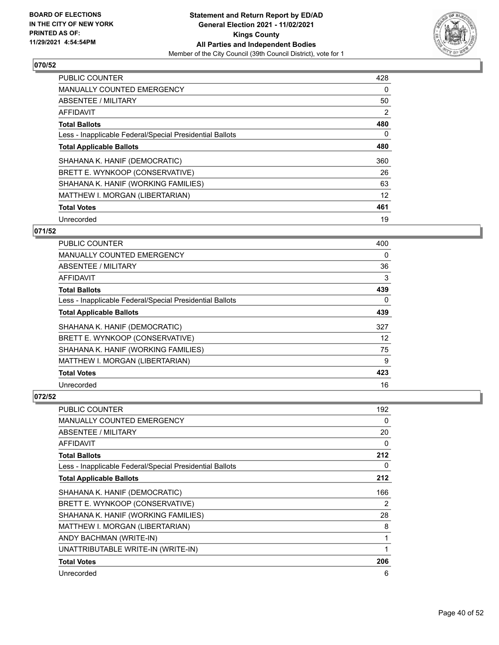

| <b>PUBLIC COUNTER</b>                                    | 428 |
|----------------------------------------------------------|-----|
| <b>MANUALLY COUNTED EMERGENCY</b>                        | 0   |
| ABSENTEE / MILITARY                                      | 50  |
| <b>AFFIDAVIT</b>                                         | 2   |
| <b>Total Ballots</b>                                     | 480 |
| Less - Inapplicable Federal/Special Presidential Ballots | 0   |
| <b>Total Applicable Ballots</b>                          | 480 |
| SHAHANA K. HANIF (DEMOCRATIC)                            | 360 |
| BRETT E. WYNKOOP (CONSERVATIVE)                          | 26  |
| SHAHANA K. HANIF (WORKING FAMILIES)                      | 63  |
| MATTHEW I. MORGAN (LIBERTARIAN)                          | 12  |
| <b>Total Votes</b>                                       | 461 |
| Unrecorded                                               | 19  |

## **071/52**

| <b>PUBLIC COUNTER</b>                                    | 400      |
|----------------------------------------------------------|----------|
| MANUALLY COUNTED EMERGENCY                               | 0        |
| ABSENTEE / MILITARY                                      | 36       |
| AFFIDAVIT                                                | 3        |
| <b>Total Ballots</b>                                     | 439      |
| Less - Inapplicable Federal/Special Presidential Ballots | $\Omega$ |
| <b>Total Applicable Ballots</b>                          | 439      |
| SHAHANA K. HANIF (DEMOCRATIC)                            | 327      |
| BRETT E. WYNKOOP (CONSERVATIVE)                          | 12       |
| SHAHANA K. HANIF (WORKING FAMILIES)                      | 75       |
| MATTHEW I. MORGAN (LIBERTARIAN)                          | 9        |
| <b>Total Votes</b>                                       | 423      |
| Unrecorded                                               | 16       |

| PUBLIC COUNTER                                           | 192            |
|----------------------------------------------------------|----------------|
| MANUALLY COUNTED EMERGENCY                               | 0              |
| <b>ABSENTEE / MILITARY</b>                               | 20             |
| AFFIDAVIT                                                | 0              |
| <b>Total Ballots</b>                                     | 212            |
| Less - Inapplicable Federal/Special Presidential Ballots | 0              |
| <b>Total Applicable Ballots</b>                          | 212            |
| SHAHANA K. HANIF (DEMOCRATIC)                            | 166            |
| BRETT E. WYNKOOP (CONSERVATIVE)                          | $\overline{2}$ |
| SHAHANA K. HANIF (WORKING FAMILIES)                      | 28             |
| MATTHEW I. MORGAN (LIBERTARIAN)                          | 8              |
| ANDY BACHMAN (WRITE-IN)                                  | 1              |
| UNATTRIBUTABLE WRITE-IN (WRITE-IN)                       | 1              |
| <b>Total Votes</b>                                       | 206            |
| Unrecorded                                               | 6              |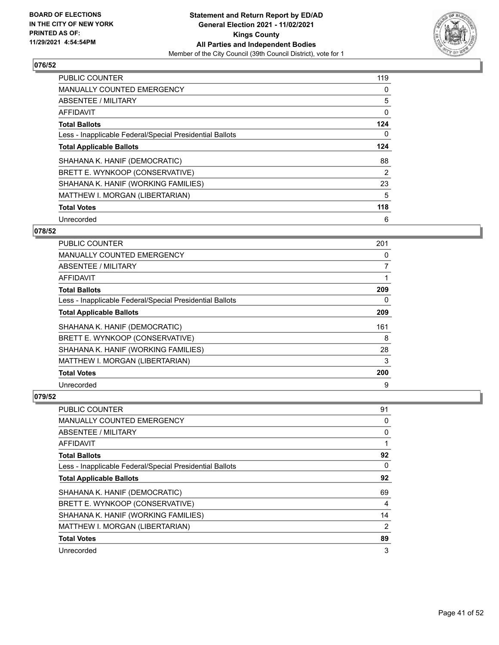

| PUBLIC COUNTER                                           | 119 |
|----------------------------------------------------------|-----|
| <b>MANUALLY COUNTED EMERGENCY</b>                        | 0   |
| ABSENTEE / MILITARY                                      | 5   |
| <b>AFFIDAVIT</b>                                         | 0   |
| <b>Total Ballots</b>                                     | 124 |
| Less - Inapplicable Federal/Special Presidential Ballots | 0   |
| <b>Total Applicable Ballots</b>                          | 124 |
| SHAHANA K. HANIF (DEMOCRATIC)                            | 88  |
| BRETT E. WYNKOOP (CONSERVATIVE)                          | 2   |
| SHAHANA K. HANIF (WORKING FAMILIES)                      | 23  |
| MATTHEW I. MORGAN (LIBERTARIAN)                          | 5   |
| <b>Total Votes</b>                                       | 118 |
| Unrecorded                                               | 6   |

## **078/52**

| PUBLIC COUNTER                                           | 201      |
|----------------------------------------------------------|----------|
| <b>MANUALLY COUNTED EMERGENCY</b>                        | $\Omega$ |
| ABSENTEE / MILITARY                                      | 7        |
| AFFIDAVIT                                                | 1        |
| <b>Total Ballots</b>                                     | 209      |
| Less - Inapplicable Federal/Special Presidential Ballots | 0        |
| <b>Total Applicable Ballots</b>                          | 209      |
| SHAHANA K. HANIF (DEMOCRATIC)                            | 161      |
| BRETT E. WYNKOOP (CONSERVATIVE)                          | 8        |
| SHAHANA K. HANIF (WORKING FAMILIES)                      | 28       |
| MATTHEW I. MORGAN (LIBERTARIAN)                          | 3        |
| <b>Total Votes</b>                                       | 200      |
| Unrecorded                                               | 9        |

| PUBLIC COUNTER                                           | 91 |
|----------------------------------------------------------|----|
| MANUALLY COUNTED EMERGENCY                               | 0  |
| ABSENTEE / MILITARY                                      | 0  |
| AFFIDAVIT                                                |    |
| <b>Total Ballots</b>                                     | 92 |
| Less - Inapplicable Federal/Special Presidential Ballots | 0  |
| <b>Total Applicable Ballots</b>                          | 92 |
| SHAHANA K. HANIF (DEMOCRATIC)                            | 69 |
| BRETT E. WYNKOOP (CONSERVATIVE)                          | 4  |
| SHAHANA K. HANIF (WORKING FAMILIES)                      | 14 |
| MATTHEW I. MORGAN (LIBERTARIAN)                          | 2  |
| <b>Total Votes</b>                                       | 89 |
| Unrecorded                                               | 3  |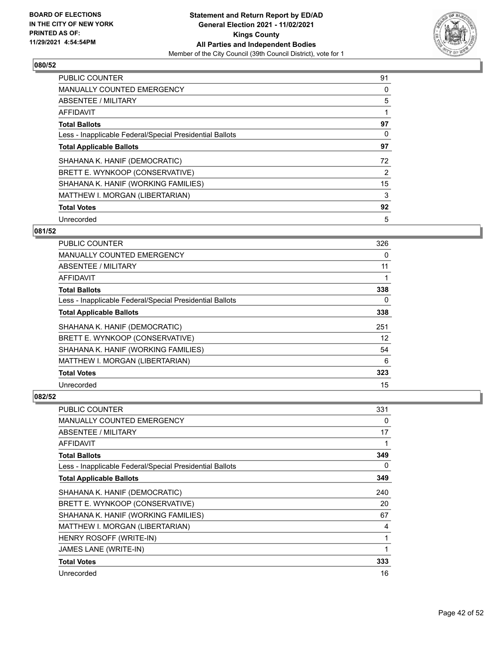

| <b>PUBLIC COUNTER</b>                                    | 91 |
|----------------------------------------------------------|----|
| <b>MANUALLY COUNTED EMERGENCY</b>                        | 0  |
| <b>ABSENTEE / MILITARY</b>                               | 5  |
| <b>AFFIDAVIT</b>                                         |    |
| <b>Total Ballots</b>                                     | 97 |
| Less - Inapplicable Federal/Special Presidential Ballots | 0  |
| <b>Total Applicable Ballots</b>                          | 97 |
| SHAHANA K. HANIF (DEMOCRATIC)                            | 72 |
| BRETT E. WYNKOOP (CONSERVATIVE)                          | 2  |
| SHAHANA K. HANIF (WORKING FAMILIES)                      | 15 |
| MATTHEW I. MORGAN (LIBERTARIAN)                          | 3  |
| <b>Total Votes</b>                                       | 92 |
| Unrecorded                                               | 5  |

## **081/52**

| <b>PUBLIC COUNTER</b>                                    | 326 |
|----------------------------------------------------------|-----|
| MANUALLY COUNTED EMERGENCY                               | 0   |
| ABSENTEE / MILITARY                                      | 11  |
| AFFIDAVIT                                                |     |
| <b>Total Ballots</b>                                     | 338 |
| Less - Inapplicable Federal/Special Presidential Ballots | 0   |
| <b>Total Applicable Ballots</b>                          | 338 |
| SHAHANA K. HANIF (DEMOCRATIC)                            | 251 |
| BRETT E. WYNKOOP (CONSERVATIVE)                          | 12  |
| SHAHANA K. HANIF (WORKING FAMILIES)                      | 54  |
| MATTHEW I. MORGAN (LIBERTARIAN)                          | 6   |
| <b>Total Votes</b>                                       | 323 |
| Unrecorded                                               | 15  |

| <b>PUBLIC COUNTER</b>                                    | 331 |
|----------------------------------------------------------|-----|
| <b>MANUALLY COUNTED EMERGENCY</b>                        | 0   |
| ABSENTEE / MILITARY                                      | 17  |
| AFFIDAVIT                                                | 1   |
| <b>Total Ballots</b>                                     | 349 |
| Less - Inapplicable Federal/Special Presidential Ballots | 0   |
| <b>Total Applicable Ballots</b>                          | 349 |
| SHAHANA K. HANIF (DEMOCRATIC)                            | 240 |
| BRETT E. WYNKOOP (CONSERVATIVE)                          | 20  |
| SHAHANA K. HANIF (WORKING FAMILIES)                      | 67  |
| MATTHEW I. MORGAN (LIBERTARIAN)                          | 4   |
| HENRY ROSOFF (WRITE-IN)                                  | 1   |
| JAMES LANE (WRITE-IN)                                    | 1   |
| <b>Total Votes</b>                                       | 333 |
| Unrecorded                                               | 16  |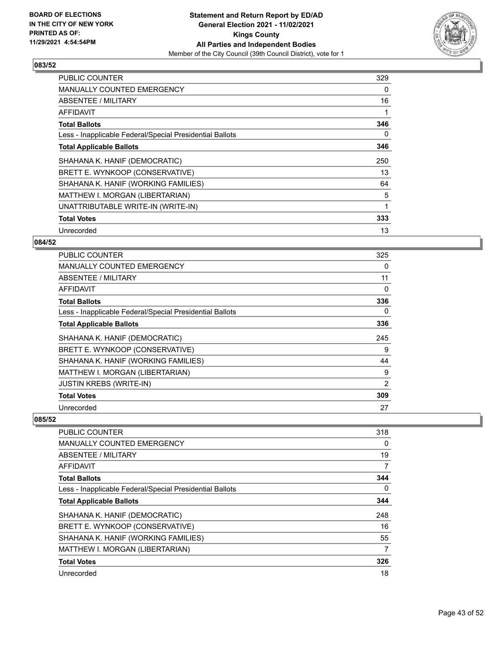

| <b>PUBLIC COUNTER</b>                                    | 329 |
|----------------------------------------------------------|-----|
| <b>MANUALLY COUNTED EMERGENCY</b>                        | 0   |
| <b>ABSENTEE / MILITARY</b>                               | 16  |
| AFFIDAVIT                                                |     |
| <b>Total Ballots</b>                                     | 346 |
| Less - Inapplicable Federal/Special Presidential Ballots | 0   |
| <b>Total Applicable Ballots</b>                          | 346 |
| SHAHANA K. HANIF (DEMOCRATIC)                            | 250 |
| BRETT E. WYNKOOP (CONSERVATIVE)                          | 13  |
| SHAHANA K. HANIF (WORKING FAMILIES)                      | 64  |
| MATTHEW I. MORGAN (LIBERTARIAN)                          | 5   |
| UNATTRIBUTABLE WRITE-IN (WRITE-IN)                       | 1   |
| <b>Total Votes</b>                                       | 333 |
| Unrecorded                                               | 13  |

## **084/52**

| <b>PUBLIC COUNTER</b>                                    | 325 |
|----------------------------------------------------------|-----|
| <b>MANUALLY COUNTED EMERGENCY</b>                        | 0   |
| ABSENTEE / MILITARY                                      | 11  |
| AFFIDAVIT                                                | 0   |
| <b>Total Ballots</b>                                     | 336 |
| Less - Inapplicable Federal/Special Presidential Ballots | 0   |
| <b>Total Applicable Ballots</b>                          | 336 |
| SHAHANA K. HANIF (DEMOCRATIC)                            | 245 |
| BRETT E. WYNKOOP (CONSERVATIVE)                          | 9   |
| SHAHANA K. HANIF (WORKING FAMILIES)                      | 44  |
| MATTHEW I. MORGAN (LIBERTARIAN)                          | 9   |
| <b>JUSTIN KREBS (WRITE-IN)</b>                           | 2   |
| <b>Total Votes</b>                                       | 309 |
| Unrecorded                                               | 27  |

| PUBLIC COUNTER                                           | 318 |
|----------------------------------------------------------|-----|
| <b>MANUALLY COUNTED EMERGENCY</b>                        | 0   |
| ABSENTEE / MILITARY                                      | 19  |
| AFFIDAVIT                                                | 7   |
| <b>Total Ballots</b>                                     | 344 |
| Less - Inapplicable Federal/Special Presidential Ballots | 0   |
| <b>Total Applicable Ballots</b>                          | 344 |
| SHAHANA K. HANIF (DEMOCRATIC)                            | 248 |
| BRETT E. WYNKOOP (CONSERVATIVE)                          | 16  |
| SHAHANA K. HANIF (WORKING FAMILIES)                      | 55  |
| MATTHEW I. MORGAN (LIBERTARIAN)                          | 7   |
| <b>Total Votes</b>                                       | 326 |
| Unrecorded                                               | 18  |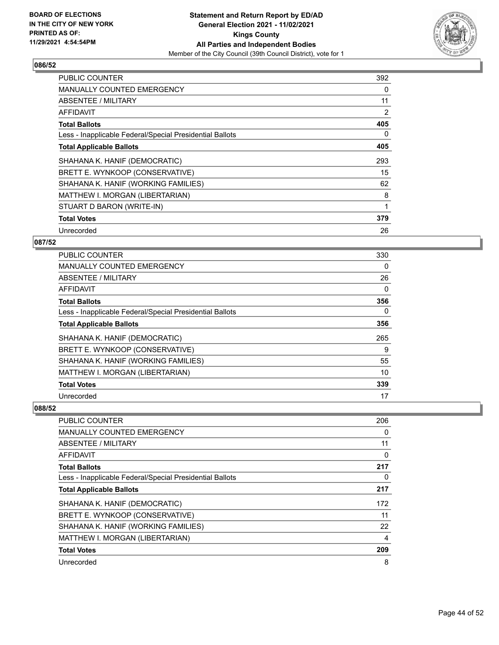

| <b>PUBLIC COUNTER</b>                                    | 392 |
|----------------------------------------------------------|-----|
| <b>MANUALLY COUNTED EMERGENCY</b>                        | 0   |
| <b>ABSENTEE / MILITARY</b>                               | 11  |
| <b>AFFIDAVIT</b>                                         | 2   |
| <b>Total Ballots</b>                                     | 405 |
| Less - Inapplicable Federal/Special Presidential Ballots | 0   |
| <b>Total Applicable Ballots</b>                          | 405 |
| SHAHANA K. HANIF (DEMOCRATIC)                            | 293 |
| BRETT E. WYNKOOP (CONSERVATIVE)                          | 15  |
| SHAHANA K. HANIF (WORKING FAMILIES)                      | 62  |
| MATTHEW I. MORGAN (LIBERTARIAN)                          | 8   |
| STUART D BARON (WRITE-IN)                                | 1   |
| <b>Total Votes</b>                                       | 379 |
| Unrecorded                                               | 26  |

## **087/52**

| <b>PUBLIC COUNTER</b>                                    | 330 |
|----------------------------------------------------------|-----|
| <b>MANUALLY COUNTED EMERGENCY</b>                        | 0   |
| ABSENTEE / MILITARY                                      | 26  |
| AFFIDAVIT                                                | 0   |
| <b>Total Ballots</b>                                     | 356 |
| Less - Inapplicable Federal/Special Presidential Ballots | 0   |
| <b>Total Applicable Ballots</b>                          | 356 |
| SHAHANA K. HANIF (DEMOCRATIC)                            | 265 |
| BRETT E. WYNKOOP (CONSERVATIVE)                          | 9   |
| SHAHANA K. HANIF (WORKING FAMILIES)                      | 55  |
| MATTHEW I. MORGAN (LIBERTARIAN)                          | 10  |
| <b>Total Votes</b>                                       | 339 |
| Unrecorded                                               | 17  |

| <b>PUBLIC COUNTER</b>                                    | 206      |
|----------------------------------------------------------|----------|
| MANUALLY COUNTED EMERGENCY                               | $\Omega$ |
| ABSENTEE / MILITARY                                      | 11       |
| AFFIDAVIT                                                | 0        |
| <b>Total Ballots</b>                                     | 217      |
| Less - Inapplicable Federal/Special Presidential Ballots | $\Omega$ |
| <b>Total Applicable Ballots</b>                          | 217      |
| SHAHANA K. HANIF (DEMOCRATIC)                            | 172      |
| BRETT E. WYNKOOP (CONSERVATIVE)                          | 11       |
| SHAHANA K. HANIF (WORKING FAMILIES)                      | 22       |
| MATTHEW I. MORGAN (LIBERTARIAN)                          | 4        |
| <b>Total Votes</b>                                       | 209      |
| Unrecorded                                               | 8        |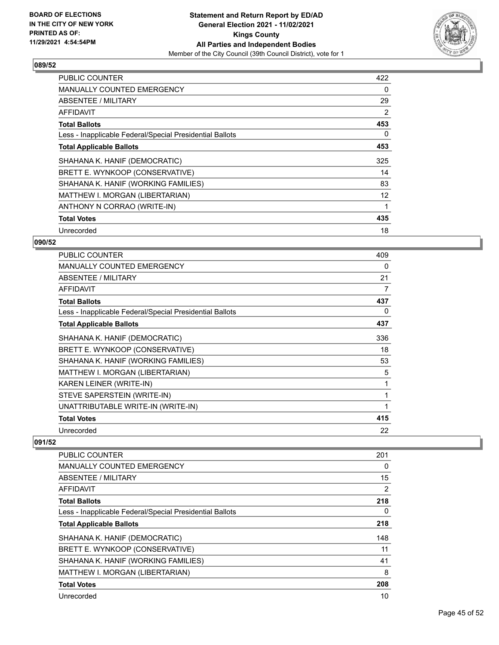

| <b>PUBLIC COUNTER</b>                                    | 422 |
|----------------------------------------------------------|-----|
| <b>MANUALLY COUNTED EMERGENCY</b>                        | 0   |
| <b>ABSENTEE / MILITARY</b>                               | 29  |
| AFFIDAVIT                                                | 2   |
| <b>Total Ballots</b>                                     | 453 |
| Less - Inapplicable Federal/Special Presidential Ballots | 0   |
| <b>Total Applicable Ballots</b>                          | 453 |
| SHAHANA K. HANIF (DEMOCRATIC)                            | 325 |
| BRETT E. WYNKOOP (CONSERVATIVE)                          | 14  |
| SHAHANA K. HANIF (WORKING FAMILIES)                      | 83  |
| MATTHEW I. MORGAN (LIBERTARIAN)                          | 12  |
| ANTHONY N CORRAO (WRITE-IN)                              | 1   |
| <b>Total Votes</b>                                       | 435 |
|                                                          |     |

## **090/52**

| <b>PUBLIC COUNTER</b>                                    | 409 |
|----------------------------------------------------------|-----|
| <b>MANUALLY COUNTED EMERGENCY</b>                        | 0   |
| ABSENTEE / MILITARY                                      | 21  |
| <b>AFFIDAVIT</b>                                         | 7   |
| <b>Total Ballots</b>                                     | 437 |
| Less - Inapplicable Federal/Special Presidential Ballots | 0   |
| <b>Total Applicable Ballots</b>                          | 437 |
| SHAHANA K. HANIF (DEMOCRATIC)                            | 336 |
| BRETT E. WYNKOOP (CONSERVATIVE)                          | 18  |
| SHAHANA K. HANIF (WORKING FAMILIES)                      | 53  |
| MATTHEW I. MORGAN (LIBERTARIAN)                          | 5   |
| KAREN LEINER (WRITE-IN)                                  | 1   |
| STEVE SAPERSTEIN (WRITE-IN)                              | 1   |
| UNATTRIBUTABLE WRITE-IN (WRITE-IN)                       | 1   |
| <b>Total Votes</b>                                       | 415 |
| Unrecorded                                               | 22  |

| PUBLIC COUNTER                                           | 201            |
|----------------------------------------------------------|----------------|
| <b>MANUALLY COUNTED EMERGENCY</b>                        | 0              |
| ABSENTEE / MILITARY                                      | 15             |
| AFFIDAVIT                                                | $\overline{2}$ |
| <b>Total Ballots</b>                                     | 218            |
| Less - Inapplicable Federal/Special Presidential Ballots | 0              |
| <b>Total Applicable Ballots</b>                          | 218            |
| SHAHANA K. HANIF (DEMOCRATIC)                            | 148            |
| BRETT E. WYNKOOP (CONSERVATIVE)                          | 11             |
| SHAHANA K. HANIF (WORKING FAMILIES)                      | 41             |
| MATTHEW I. MORGAN (LIBERTARIAN)                          | 8              |
| <b>Total Votes</b>                                       | 208            |
| Unrecorded                                               | 10             |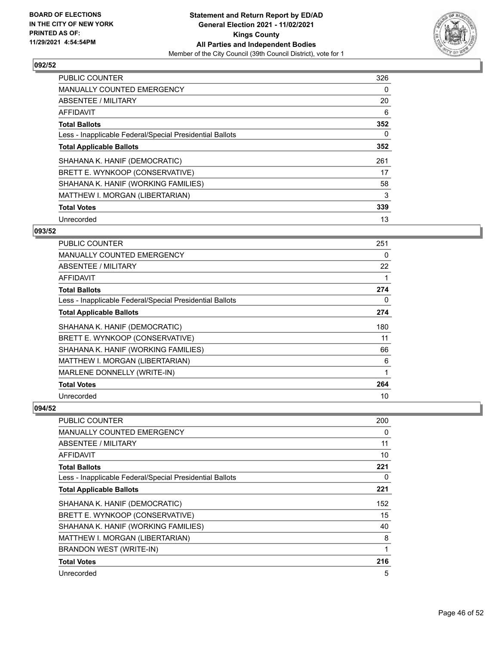

| <b>PUBLIC COUNTER</b>                                    | 326      |
|----------------------------------------------------------|----------|
| <b>MANUALLY COUNTED EMERGENCY</b>                        | $\Omega$ |
| ABSENTEE / MILITARY                                      | 20       |
| AFFIDAVIT                                                | 6        |
| <b>Total Ballots</b>                                     | 352      |
| Less - Inapplicable Federal/Special Presidential Ballots | 0        |
| <b>Total Applicable Ballots</b>                          | 352      |
| SHAHANA K. HANIF (DEMOCRATIC)                            | 261      |
| BRETT E. WYNKOOP (CONSERVATIVE)                          | 17       |
| SHAHANA K. HANIF (WORKING FAMILIES)                      | 58       |
| MATTHEW I. MORGAN (LIBERTARIAN)                          | 3        |
| <b>Total Votes</b>                                       | 339      |
| Unrecorded                                               | 13       |

## **093/52**

| PUBLIC COUNTER                                           | 251 |
|----------------------------------------------------------|-----|
| <b>MANUALLY COUNTED EMERGENCY</b>                        | 0   |
| ABSENTEE / MILITARY                                      | 22  |
| AFFIDAVIT                                                | 1   |
| <b>Total Ballots</b>                                     | 274 |
| Less - Inapplicable Federal/Special Presidential Ballots | 0   |
| <b>Total Applicable Ballots</b>                          | 274 |
| SHAHANA K. HANIF (DEMOCRATIC)                            | 180 |
| BRETT E. WYNKOOP (CONSERVATIVE)                          | 11  |
| SHAHANA K. HANIF (WORKING FAMILIES)                      | 66  |
| MATTHEW I. MORGAN (LIBERTARIAN)                          | 6   |
| MARLENE DONNELLY (WRITE-IN)                              | 1   |
| <b>Total Votes</b>                                       | 264 |
| Unrecorded                                               | 10  |

| <b>PUBLIC COUNTER</b>                                    | 200 |
|----------------------------------------------------------|-----|
| <b>MANUALLY COUNTED EMERGENCY</b>                        | 0   |
| ABSENTEE / MILITARY                                      | 11  |
| AFFIDAVIT                                                | 10  |
| <b>Total Ballots</b>                                     | 221 |
| Less - Inapplicable Federal/Special Presidential Ballots | 0   |
| <b>Total Applicable Ballots</b>                          | 221 |
| SHAHANA K. HANIF (DEMOCRATIC)                            | 152 |
| BRETT E. WYNKOOP (CONSERVATIVE)                          | 15  |
| SHAHANA K. HANIF (WORKING FAMILIES)                      | 40  |
| MATTHEW I. MORGAN (LIBERTARIAN)                          | 8   |
| BRANDON WEST (WRITE-IN)                                  | 1   |
| <b>Total Votes</b>                                       | 216 |
| Unrecorded                                               | 5   |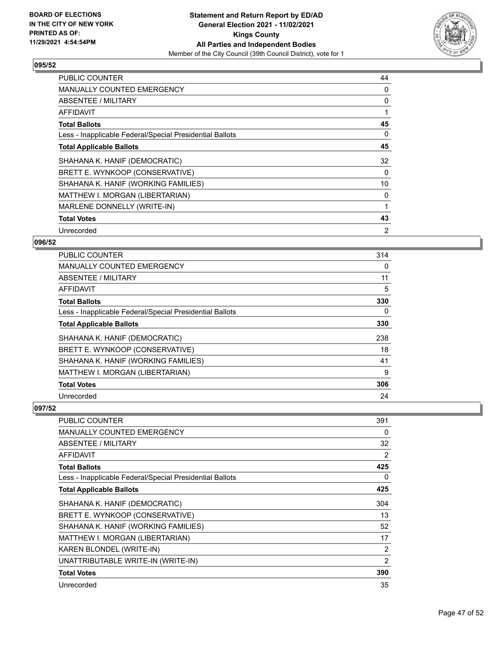

| <b>PUBLIC COUNTER</b>                                    | 44 |
|----------------------------------------------------------|----|
| <b>MANUALLY COUNTED EMERGENCY</b>                        | 0  |
| ABSENTEE / MILITARY                                      | 0  |
| <b>AFFIDAVIT</b>                                         |    |
| <b>Total Ballots</b>                                     | 45 |
| Less - Inapplicable Federal/Special Presidential Ballots | 0  |
| <b>Total Applicable Ballots</b>                          | 45 |
| SHAHANA K. HANIF (DEMOCRATIC)                            | 32 |
| BRETT E. WYNKOOP (CONSERVATIVE)                          | 0  |
| SHAHANA K. HANIF (WORKING FAMILIES)                      | 10 |
| MATTHEW I. MORGAN (LIBERTARIAN)                          | 0  |
| MARLENE DONNELLY (WRITE-IN)                              |    |
| <b>Total Votes</b>                                       | 43 |
| Unrecorded                                               | 2  |

## **096/52**

| <b>PUBLIC COUNTER</b>                                    | 314      |
|----------------------------------------------------------|----------|
| <b>MANUALLY COUNTED EMERGENCY</b>                        | $\Omega$ |
| ABSENTEE / MILITARY                                      | 11       |
| AFFIDAVIT                                                | 5        |
| <b>Total Ballots</b>                                     | 330      |
| Less - Inapplicable Federal/Special Presidential Ballots | 0        |
| <b>Total Applicable Ballots</b>                          | 330      |
| SHAHANA K. HANIF (DEMOCRATIC)                            | 238      |
| BRETT E. WYNKOOP (CONSERVATIVE)                          | 18       |
| SHAHANA K. HANIF (WORKING FAMILIES)                      | 41       |
| MATTHEW I. MORGAN (LIBERTARIAN)                          | 9        |
| <b>Total Votes</b>                                       | 306      |
| Unrecorded                                               | 24       |

| PUBLIC COUNTER                                           | 391 |
|----------------------------------------------------------|-----|
| <b>MANUALLY COUNTED EMERGENCY</b>                        | 0   |
| ABSENTEE / MILITARY                                      | 32  |
| AFFIDAVIT                                                | 2   |
| <b>Total Ballots</b>                                     | 425 |
| Less - Inapplicable Federal/Special Presidential Ballots | 0   |
| <b>Total Applicable Ballots</b>                          | 425 |
| SHAHANA K. HANIF (DEMOCRATIC)                            | 304 |
| BRETT E. WYNKOOP (CONSERVATIVE)                          | 13  |
| SHAHANA K. HANIF (WORKING FAMILIES)                      | 52  |
| MATTHEW I. MORGAN (LIBERTARIAN)                          | 17  |
| KAREN BLONDEL (WRITE-IN)                                 | 2   |
| UNATTRIBUTABLE WRITE-IN (WRITE-IN)                       | 2   |
| <b>Total Votes</b>                                       | 390 |
| Unrecorded                                               | 35  |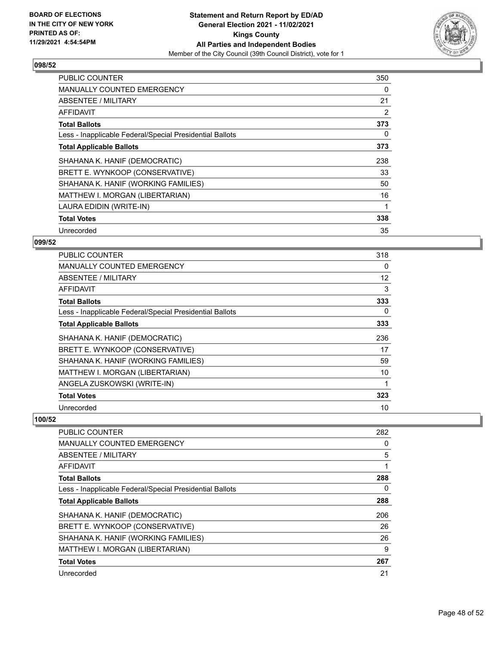

| <b>PUBLIC COUNTER</b>                                    | 350 |
|----------------------------------------------------------|-----|
| <b>MANUALLY COUNTED EMERGENCY</b>                        | 0   |
| <b>ABSENTEE / MILITARY</b>                               | 21  |
| AFFIDAVIT                                                | 2   |
| <b>Total Ballots</b>                                     | 373 |
| Less - Inapplicable Federal/Special Presidential Ballots | 0   |
| <b>Total Applicable Ballots</b>                          | 373 |
| SHAHANA K. HANIF (DEMOCRATIC)                            | 238 |
| BRETT E. WYNKOOP (CONSERVATIVE)                          | 33  |
| SHAHANA K. HANIF (WORKING FAMILIES)                      | 50  |
| <b>MATTHEW I. MORGAN (LIBERTARIAN)</b>                   | 16  |
| LAURA EDIDIN (WRITE-IN)                                  |     |
| <b>Total Votes</b>                                       | 338 |
| Unrecorded                                               | 35  |

## **099/52**

| <b>PUBLIC COUNTER</b>                                    | 318 |
|----------------------------------------------------------|-----|
| MANUALLY COUNTED EMERGENCY                               | 0   |
| ABSENTEE / MILITARY                                      | 12  |
| AFFIDAVIT                                                | 3   |
| <b>Total Ballots</b>                                     | 333 |
| Less - Inapplicable Federal/Special Presidential Ballots | 0   |
| <b>Total Applicable Ballots</b>                          | 333 |
| SHAHANA K. HANIF (DEMOCRATIC)                            | 236 |
| BRETT E. WYNKOOP (CONSERVATIVE)                          | 17  |
| SHAHANA K. HANIF (WORKING FAMILIES)                      | 59  |
| MATTHEW I. MORGAN (LIBERTARIAN)                          | 10  |
| ANGELA ZUSKOWSKI (WRITE-IN)                              |     |
| <b>Total Votes</b>                                       | 323 |
| Unrecorded                                               | 10  |

| <b>PUBLIC COUNTER</b>                                    | 282 |
|----------------------------------------------------------|-----|
| <b>MANUALLY COUNTED EMERGENCY</b>                        | 0   |
| ABSENTEE / MILITARY                                      | 5   |
| AFFIDAVIT                                                |     |
| <b>Total Ballots</b>                                     | 288 |
| Less - Inapplicable Federal/Special Presidential Ballots | 0   |
| <b>Total Applicable Ballots</b>                          | 288 |
| SHAHANA K. HANIF (DEMOCRATIC)                            | 206 |
| BRETT E. WYNKOOP (CONSERVATIVE)                          | 26  |
| SHAHANA K. HANIF (WORKING FAMILIES)                      | 26  |
| MATTHEW I. MORGAN (LIBERTARIAN)                          | 9   |
| <b>Total Votes</b>                                       | 267 |
| Unrecorded                                               | 21  |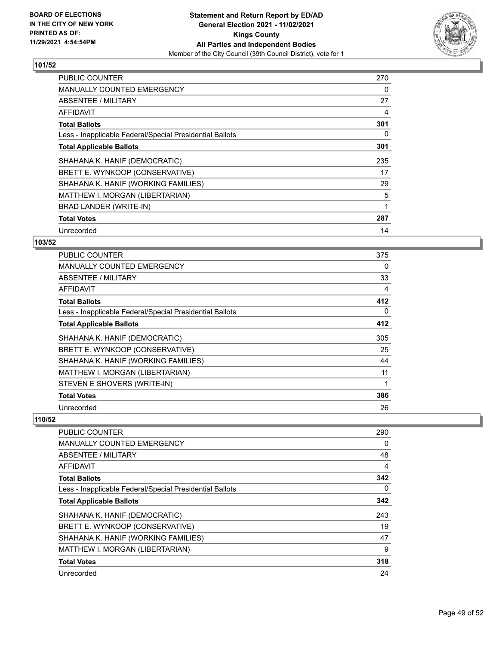

| <b>PUBLIC COUNTER</b>                                    | 270 |
|----------------------------------------------------------|-----|
| <b>MANUALLY COUNTED EMERGENCY</b>                        | 0   |
| ABSENTEE / MILITARY                                      | 27  |
| AFFIDAVIT                                                | 4   |
| <b>Total Ballots</b>                                     | 301 |
| Less - Inapplicable Federal/Special Presidential Ballots | 0   |
| <b>Total Applicable Ballots</b>                          | 301 |
| SHAHANA K. HANIF (DEMOCRATIC)                            | 235 |
| BRETT E. WYNKOOP (CONSERVATIVE)                          | 17  |
| SHAHANA K. HANIF (WORKING FAMILIES)                      | 29  |
| MATTHEW I. MORGAN (LIBERTARIAN)                          | 5   |
| <b>BRAD LANDER (WRITE-IN)</b>                            |     |
| <b>Total Votes</b>                                       | 287 |
| Unrecorded                                               | 14  |

## **103/52**

| <b>PUBLIC COUNTER</b>                                    | 375      |
|----------------------------------------------------------|----------|
| MANUALLY COUNTED EMERGENCY                               | 0        |
| ABSENTEE / MILITARY                                      | 33       |
| AFFIDAVIT                                                | 4        |
| <b>Total Ballots</b>                                     | 412      |
| Less - Inapplicable Federal/Special Presidential Ballots | $\Omega$ |
| <b>Total Applicable Ballots</b>                          | 412      |
| SHAHANA K. HANIF (DEMOCRATIC)                            | 305      |
| BRETT E. WYNKOOP (CONSERVATIVE)                          | 25       |
| SHAHANA K. HANIF (WORKING FAMILIES)                      | 44       |
| MATTHEW I. MORGAN (LIBERTARIAN)                          | 11       |
| STEVEN E SHOVERS (WRITE-IN)                              |          |
| <b>Total Votes</b>                                       | 386      |
| Unrecorded                                               | 26       |

| <b>PUBLIC COUNTER</b>                                    | 290 |
|----------------------------------------------------------|-----|
| <b>MANUALLY COUNTED EMERGENCY</b>                        | 0   |
| <b>ABSENTEE / MILITARY</b>                               | 48  |
| AFFIDAVIT                                                | 4   |
| <b>Total Ballots</b>                                     | 342 |
| Less - Inapplicable Federal/Special Presidential Ballots | 0   |
| <b>Total Applicable Ballots</b>                          | 342 |
| SHAHANA K. HANIF (DEMOCRATIC)                            | 243 |
| BRETT E. WYNKOOP (CONSERVATIVE)                          | 19  |
| SHAHANA K. HANIF (WORKING FAMILIES)                      | 47  |
| MATTHEW I. MORGAN (LIBERTARIAN)                          | 9   |
| <b>Total Votes</b>                                       | 318 |
| Unrecorded                                               | 24  |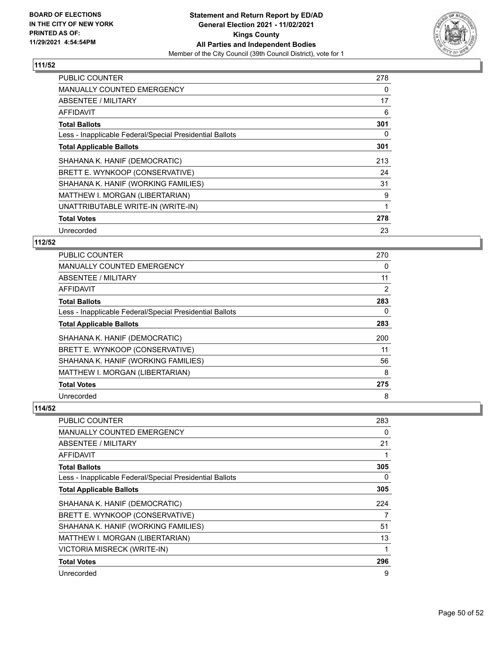

| PUBLIC COUNTER                                           | 278 |
|----------------------------------------------------------|-----|
| <b>MANUALLY COUNTED EMERGENCY</b>                        | 0   |
| ABSENTEE / MILITARY                                      | 17  |
| AFFIDAVIT                                                | 6   |
| <b>Total Ballots</b>                                     | 301 |
| Less - Inapplicable Federal/Special Presidential Ballots | 0   |
| <b>Total Applicable Ballots</b>                          | 301 |
| SHAHANA K. HANIF (DEMOCRATIC)                            | 213 |
| BRETT E. WYNKOOP (CONSERVATIVE)                          | 24  |
| SHAHANA K. HANIF (WORKING FAMILIES)                      | 31  |
| MATTHEW I. MORGAN (LIBERTARIAN)                          | 9   |
| UNATTRIBUTABLE WRITE-IN (WRITE-IN)                       | 1   |
| <b>Total Votes</b>                                       | 278 |
| Unrecorded                                               | 23  |

## **112/52**

| PUBLIC COUNTER                                           | 270 |
|----------------------------------------------------------|-----|
| MANUALLY COUNTED EMERGENCY                               | 0   |
| ABSENTEE / MILITARY                                      | 11  |
| AFFIDAVIT                                                | 2   |
| <b>Total Ballots</b>                                     | 283 |
| Less - Inapplicable Federal/Special Presidential Ballots | 0   |
| <b>Total Applicable Ballots</b>                          | 283 |
| SHAHANA K. HANIF (DEMOCRATIC)                            | 200 |
| BRETT E. WYNKOOP (CONSERVATIVE)                          | 11  |
| SHAHANA K. HANIF (WORKING FAMILIES)                      | 56  |
| MATTHEW I. MORGAN (LIBERTARIAN)                          | 8   |
| <b>Total Votes</b>                                       | 275 |
| Unrecorded                                               | 8   |

| PUBLIC COUNTER                                           | 283 |
|----------------------------------------------------------|-----|
| <b>MANUALLY COUNTED EMERGENCY</b>                        | 0   |
| ABSENTEE / MILITARY                                      | 21  |
| <b>AFFIDAVIT</b>                                         |     |
| <b>Total Ballots</b>                                     | 305 |
| Less - Inapplicable Federal/Special Presidential Ballots | 0   |
| <b>Total Applicable Ballots</b>                          | 305 |
| SHAHANA K. HANIF (DEMOCRATIC)                            | 224 |
| BRETT E. WYNKOOP (CONSERVATIVE)                          | 7   |
| SHAHANA K. HANIF (WORKING FAMILIES)                      | 51  |
| MATTHEW I. MORGAN (LIBERTARIAN)                          | 13  |
| VICTORIA MISRECK (WRITE-IN)                              |     |
| <b>Total Votes</b>                                       | 296 |
| Unrecorded                                               | 9   |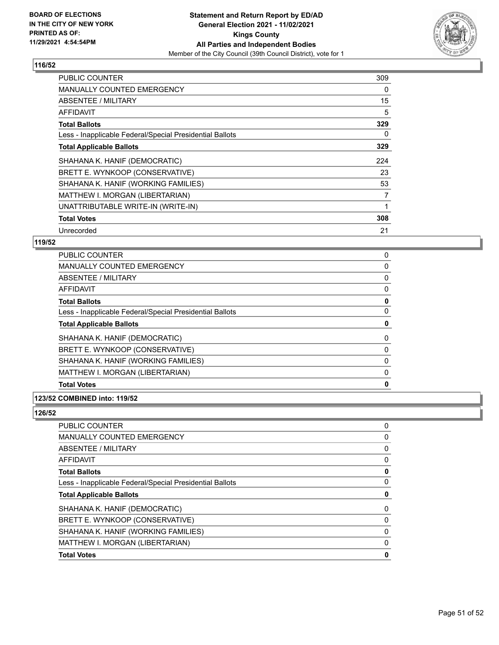

| <b>PUBLIC COUNTER</b>                                    | 309 |
|----------------------------------------------------------|-----|
| <b>MANUALLY COUNTED EMERGENCY</b>                        | 0   |
| ABSENTEE / MILITARY                                      | 15  |
| AFFIDAVIT                                                | 5   |
| <b>Total Ballots</b>                                     | 329 |
| Less - Inapplicable Federal/Special Presidential Ballots | 0   |
| <b>Total Applicable Ballots</b>                          | 329 |
| SHAHANA K. HANIF (DEMOCRATIC)                            | 224 |
| BRETT E. WYNKOOP (CONSERVATIVE)                          | 23  |
| SHAHANA K. HANIF (WORKING FAMILIES)                      | 53  |
| MATTHEW I. MORGAN (LIBERTARIAN)                          | 7   |
| UNATTRIBUTABLE WRITE-IN (WRITE-IN)                       |     |
| <b>Total Votes</b>                                       | 308 |
| Unrecorded                                               | 21  |

#### **119/52**

| PUBLIC COUNTER                                           | 0        |
|----------------------------------------------------------|----------|
| MANUALLY COUNTED EMERGENCY                               | 0        |
| ABSENTEE / MILITARY                                      | 0        |
| AFFIDAVIT                                                | 0        |
| <b>Total Ballots</b>                                     | 0        |
| Less - Inapplicable Federal/Special Presidential Ballots | 0        |
| <b>Total Applicable Ballots</b>                          | 0        |
| SHAHANA K. HANIF (DEMOCRATIC)                            | $\Omega$ |
| BRETT E. WYNKOOP (CONSERVATIVE)                          | 0        |
| SHAHANA K. HANIF (WORKING FAMILIES)                      | 0        |
| MATTHEW I. MORGAN (LIBERTARIAN)                          | 0        |
| <b>Total Votes</b>                                       | 0        |
|                                                          |          |

#### **123/52 COMBINED into: 119/52**

| PUBLIC COUNTER                                           | 0        |
|----------------------------------------------------------|----------|
| <b>MANUALLY COUNTED EMERGENCY</b>                        | 0        |
| <b>ABSENTEE / MILITARY</b>                               | 0        |
| <b>AFFIDAVIT</b>                                         | $\Omega$ |
| <b>Total Ballots</b>                                     | 0        |
| Less - Inapplicable Federal/Special Presidential Ballots | 0        |
| <b>Total Applicable Ballots</b>                          | 0        |
| SHAHANA K. HANIF (DEMOCRATIC)                            | 0        |
| BRETT E. WYNKOOP (CONSERVATIVE)                          | $\Omega$ |
| SHAHANA K. HANIF (WORKING FAMILIES)                      | $\Omega$ |
| MATTHEW I. MORGAN (LIBERTARIAN)                          | $\Omega$ |
| <b>Total Votes</b>                                       | 0        |